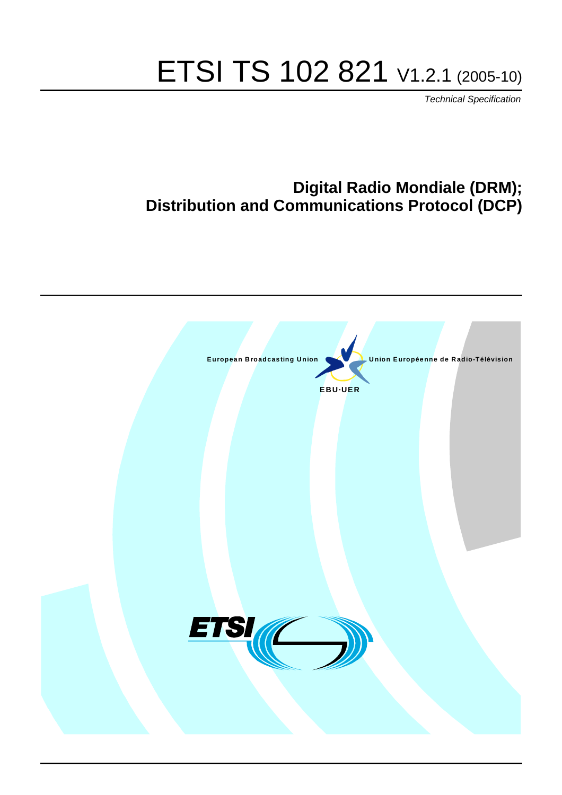# ETSI TS 102 821 V1.2.1 (2005-10)

Technical Specification

### **Digital Radio Mondiale (DRM); Distribution and Communications Protocol (DCP)**

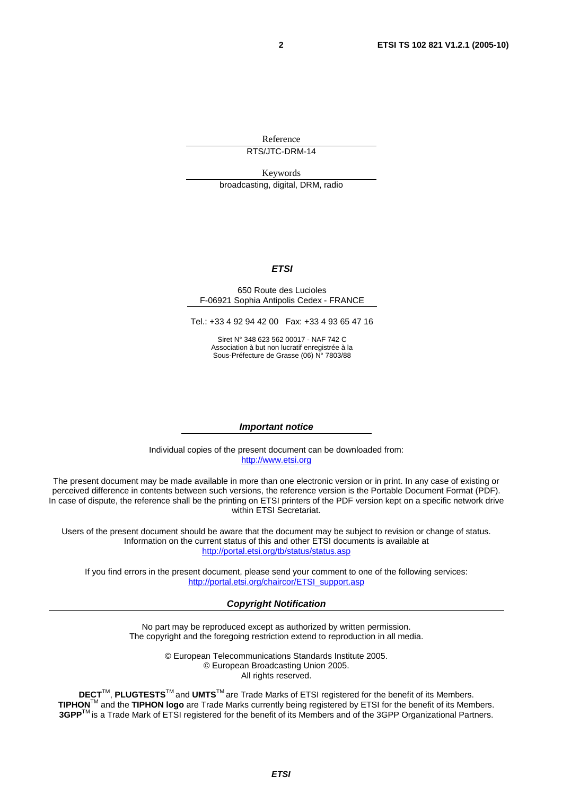Reference RTS/JTC-DRM-14

Keywords broadcasting, digital, DRM, radio

#### **ETSI**

#### 650 Route des Lucioles F-06921 Sophia Antipolis Cedex - FRANCE

Tel.: +33 4 92 94 42 00 Fax: +33 4 93 65 47 16

Siret N° 348 623 562 00017 - NAF 742 C Association à but non lucratif enregistrée à la Sous-Préfecture de Grasse (06) N° 7803/88

#### **Important notice**

Individual copies of the present document can be downloaded from: [http://www.etsi.org](http://www.etsi.org/)

The present document may be made available in more than one electronic version or in print. In any case of existing or perceived difference in contents between such versions, the reference version is the Portable Document Format (PDF). In case of dispute, the reference shall be the printing on ETSI printers of the PDF version kept on a specific network drive within ETSI Secretariat.

Users of the present document should be aware that the document may be subject to revision or change of status. Information on the current status of this and other ETSI documents is available at <http://portal.etsi.org/tb/status/status.asp>

If you find errors in the present document, please send your comment to one of the following services: [http://portal.etsi.org/chaircor/ETSI\\_support.asp](http://portal.etsi.org/chaircor/ETSI_support.asp)

#### **Copyright Notification**

No part may be reproduced except as authorized by written permission. The copyright and the foregoing restriction extend to reproduction in all media.

> © European Telecommunications Standards Institute 2005. © European Broadcasting Union 2005. All rights reserved.

**DECT**TM, **PLUGTESTS**TM and **UMTS**TM are Trade Marks of ETSI registered for the benefit of its Members. **TIPHON**TM and the **TIPHON logo** are Trade Marks currently being registered by ETSI for the benefit of its Members. **3GPP**TM is a Trade Mark of ETSI registered for the benefit of its Members and of the 3GPP Organizational Partners.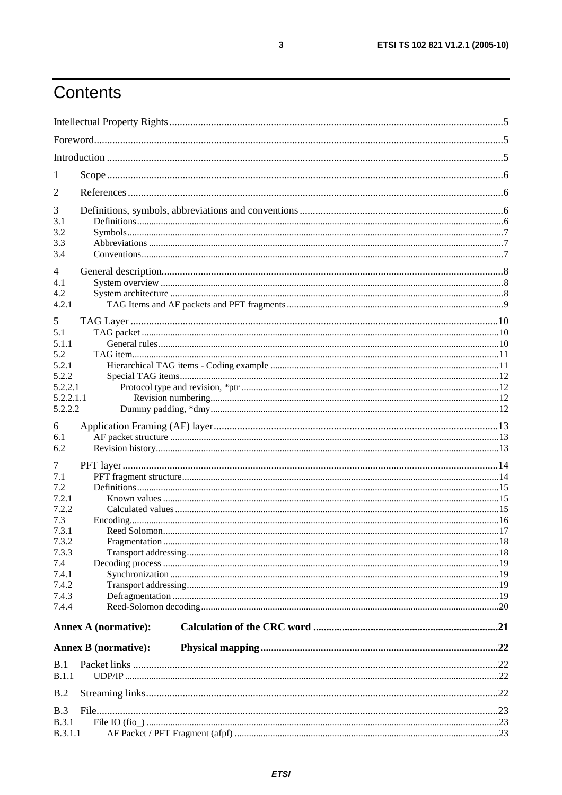# Contents

| 1            |                             |  |  |  |  |  |  |  |
|--------------|-----------------------------|--|--|--|--|--|--|--|
| 2            |                             |  |  |  |  |  |  |  |
| 3            |                             |  |  |  |  |  |  |  |
| 3.1          |                             |  |  |  |  |  |  |  |
| 3.2          |                             |  |  |  |  |  |  |  |
| 3.3<br>3.4   |                             |  |  |  |  |  |  |  |
| 4            |                             |  |  |  |  |  |  |  |
| 4.1          |                             |  |  |  |  |  |  |  |
| 4.2          |                             |  |  |  |  |  |  |  |
| 4.2.1        |                             |  |  |  |  |  |  |  |
| 5            |                             |  |  |  |  |  |  |  |
| 5.1          |                             |  |  |  |  |  |  |  |
| 5.1.1        |                             |  |  |  |  |  |  |  |
| 5.2<br>5.2.1 |                             |  |  |  |  |  |  |  |
| 5.2.2        |                             |  |  |  |  |  |  |  |
| 5.2.2.1      |                             |  |  |  |  |  |  |  |
| 5.2.2.1.1    |                             |  |  |  |  |  |  |  |
| 5.2.2.2      |                             |  |  |  |  |  |  |  |
| 6            |                             |  |  |  |  |  |  |  |
| 6.1          |                             |  |  |  |  |  |  |  |
| 6.2          |                             |  |  |  |  |  |  |  |
| 7            |                             |  |  |  |  |  |  |  |
| 7.1          |                             |  |  |  |  |  |  |  |
| 7.2<br>7.2.1 |                             |  |  |  |  |  |  |  |
| 7.2.2        |                             |  |  |  |  |  |  |  |
| 7.3          |                             |  |  |  |  |  |  |  |
| 7.3.1        |                             |  |  |  |  |  |  |  |
| 7.3.2        |                             |  |  |  |  |  |  |  |
| 7.3.3<br>7.4 |                             |  |  |  |  |  |  |  |
| 7.4.1        |                             |  |  |  |  |  |  |  |
| 7.4.2        |                             |  |  |  |  |  |  |  |
| 7.4.3        |                             |  |  |  |  |  |  |  |
| 7.4.4        |                             |  |  |  |  |  |  |  |
|              | Annex A (normative):        |  |  |  |  |  |  |  |
|              | <b>Annex B</b> (normative): |  |  |  |  |  |  |  |
|              |                             |  |  |  |  |  |  |  |
| B.1<br>B.1.1 |                             |  |  |  |  |  |  |  |
|              |                             |  |  |  |  |  |  |  |
| B.2          |                             |  |  |  |  |  |  |  |
| B.3          |                             |  |  |  |  |  |  |  |
| <b>B.3.1</b> |                             |  |  |  |  |  |  |  |
| B.3.1.1      |                             |  |  |  |  |  |  |  |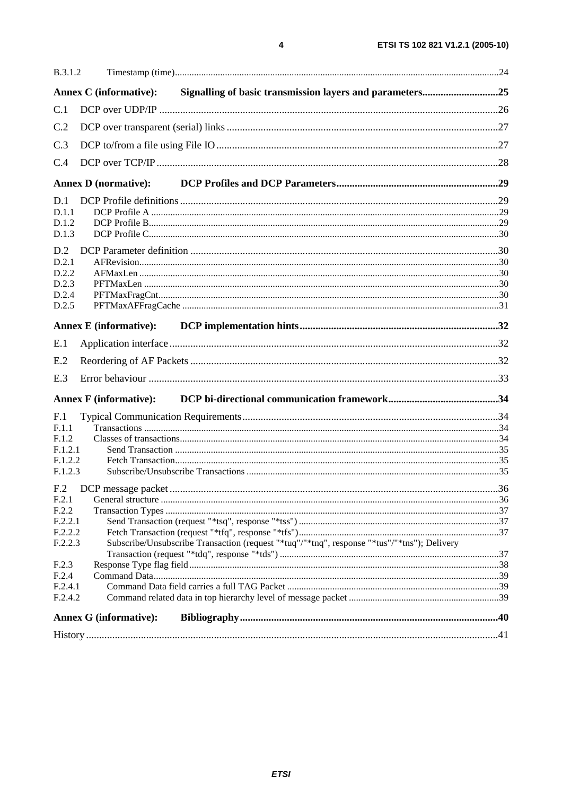| <b>B.3.1.2</b>  |                                                                                             |  |
|-----------------|---------------------------------------------------------------------------------------------|--|
|                 | Signalling of basic transmission layers and parameters25<br><b>Annex C</b> (informative):   |  |
| C.1             |                                                                                             |  |
| C.2             |                                                                                             |  |
| C.3             |                                                                                             |  |
| C.4             |                                                                                             |  |
|                 |                                                                                             |  |
|                 | <b>Annex D</b> (normative):                                                                 |  |
| D.1             |                                                                                             |  |
| D.1.1           |                                                                                             |  |
| D.1.2           |                                                                                             |  |
| D.1.3           |                                                                                             |  |
| D.2             |                                                                                             |  |
| D.2.1           |                                                                                             |  |
| D.2.2           |                                                                                             |  |
| D.2.3           |                                                                                             |  |
| D.2.4<br>D.2.5  |                                                                                             |  |
|                 |                                                                                             |  |
|                 | <b>Annex E</b> (informative):                                                               |  |
| E.1             |                                                                                             |  |
| E.2             |                                                                                             |  |
| E.3             |                                                                                             |  |
|                 | <b>Annex F</b> (informative):                                                               |  |
| F.1             |                                                                                             |  |
| F.1.1           |                                                                                             |  |
| F.1.2           |                                                                                             |  |
| F.1.2.1         |                                                                                             |  |
| F.1.2.2         |                                                                                             |  |
| F.1.2.3         |                                                                                             |  |
| F <sub>.2</sub> |                                                                                             |  |
| F.2.1           |                                                                                             |  |
| F.2.2           |                                                                                             |  |
| F.2.2.1         |                                                                                             |  |
| F.2.2.2         |                                                                                             |  |
| F.2.2.3         | Subscribe/Unsubscribe Transaction (request "*tuq"/"*tnq", response "*tus"/"*tns"); Delivery |  |
|                 |                                                                                             |  |
| F.2.3<br>F.2.4  |                                                                                             |  |
| F.2.4.1         |                                                                                             |  |
| F.2.4.2         |                                                                                             |  |
|                 |                                                                                             |  |
|                 | <b>Annex G (informative):</b>                                                               |  |
|                 |                                                                                             |  |

 $\overline{\mathbf{4}}$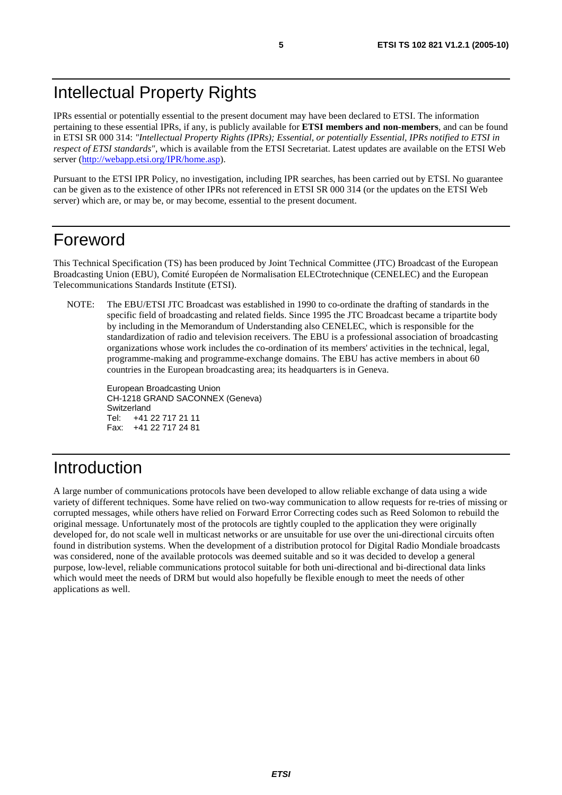### Intellectual Property Rights

IPRs essential or potentially essential to the present document may have been declared to ETSI. The information pertaining to these essential IPRs, if any, is publicly available for **ETSI members and non-members**, and can be found in ETSI SR 000 314: *"Intellectual Property Rights (IPRs); Essential, or potentially Essential, IPRs notified to ETSI in respect of ETSI standards"*, which is available from the ETSI Secretariat. Latest updates are available on the ETSI Web server ([http://webapp.etsi.org/IPR/home.asp\)](http://webapp.etsi.org/IPR/home.asp).

Pursuant to the ETSI IPR Policy, no investigation, including IPR searches, has been carried out by ETSI. No guarantee can be given as to the existence of other IPRs not referenced in ETSI SR 000 314 (or the updates on the ETSI Web server) which are, or may be, or may become, essential to the present document.

### Foreword

This Technical Specification (TS) has been produced by Joint Technical Committee (JTC) Broadcast of the European Broadcasting Union (EBU), Comité Européen de Normalisation ELECtrotechnique (CENELEC) and the European Telecommunications Standards Institute (ETSI).

NOTE: The EBU/ETSI JTC Broadcast was established in 1990 to co-ordinate the drafting of standards in the specific field of broadcasting and related fields. Since 1995 the JTC Broadcast became a tripartite body by including in the Memorandum of Understanding also CENELEC, which is responsible for the standardization of radio and television receivers. The EBU is a professional association of broadcasting organizations whose work includes the co-ordination of its members' activities in the technical, legal, programme-making and programme-exchange domains. The EBU has active members in about 60 countries in the European broadcasting area; its headquarters is in Geneva.

European Broadcasting Union CH-1218 GRAND SACONNEX (Geneva) Switzerland Tel: +41 22 717 21 11 Fax: +41 22 717 24 81

# Introduction

A large number of communications protocols have been developed to allow reliable exchange of data using a wide variety of different techniques. Some have relied on two-way communication to allow requests for re-tries of missing or corrupted messages, while others have relied on Forward Error Correcting codes such as Reed Solomon to rebuild the original message. Unfortunately most of the protocols are tightly coupled to the application they were originally developed for, do not scale well in multicast networks or are unsuitable for use over the uni-directional circuits often found in distribution systems. When the development of a distribution protocol for Digital Radio Mondiale broadcasts was considered, none of the available protocols was deemed suitable and so it was decided to develop a general purpose, low-level, reliable communications protocol suitable for both uni-directional and bi-directional data links which would meet the needs of DRM but would also hopefully be flexible enough to meet the needs of other applications as well.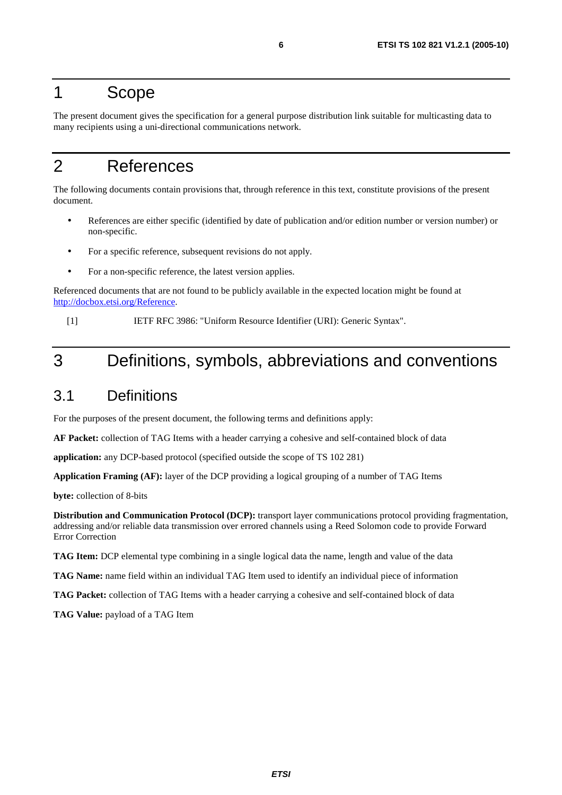### 1 Scope

The present document gives the specification for a general purpose distribution link suitable for multicasting data to many recipients using a uni-directional communications network.

### 2 References

The following documents contain provisions that, through reference in this text, constitute provisions of the present document.

- References are either specific (identified by date of publication and/or edition number or version number) or non-specific.
- For a specific reference, subsequent revisions do not apply.
- For a non-specific reference, the latest version applies.

Referenced documents that are not found to be publicly available in the expected location might be found at <http://docbox.etsi.org/Reference>.

[1] IETF RFC 3986: "Uniform Resource Identifier (URI): Generic Syntax".

# 3 Definitions, symbols, abbreviations and conventions

### 3.1 Definitions

For the purposes of the present document, the following terms and definitions apply:

**AF Packet:** collection of TAG Items with a header carrying a cohesive and self-contained block of data

**application:** any DCP-based protocol (specified outside the scope of TS 102 281)

**Application Framing (AF):** layer of the DCP providing a logical grouping of a number of TAG Items

**byte:** collection of 8-bits

**Distribution and Communication Protocol (DCP):** transport layer communications protocol providing fragmentation, addressing and/or reliable data transmission over errored channels using a Reed Solomon code to provide Forward Error Correction

**TAG Item:** DCP elemental type combining in a single logical data the name, length and value of the data

**TAG Name:** name field within an individual TAG Item used to identify an individual piece of information

**TAG Packet:** collection of TAG Items with a header carrying a cohesive and self-contained block of data

**TAG Value:** payload of a TAG Item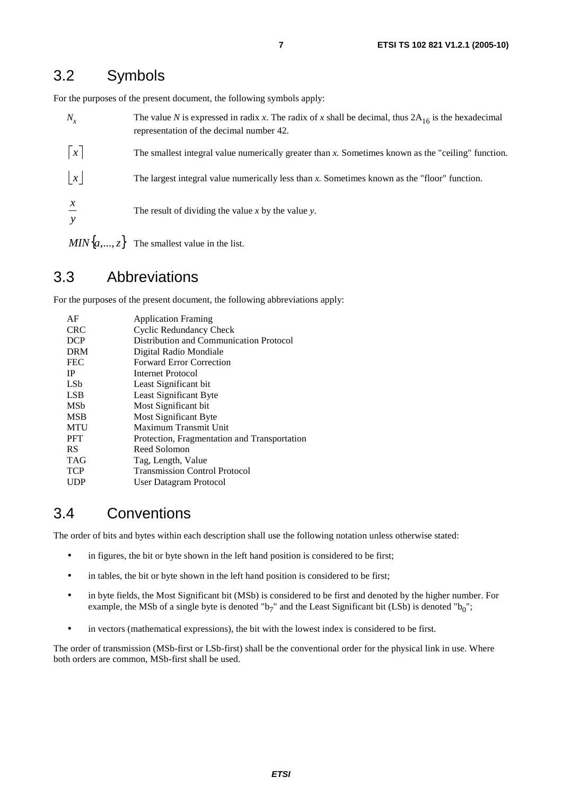### 3.2 Symbols

For the purposes of the present document, the following symbols apply:

| $N_{x}$         | The value N is expressed in radix x. The radix of x shall be decimal, thus $2A_{16}$ is the hexadecimal<br>representation of the decimal number 42. |
|-----------------|-----------------------------------------------------------------------------------------------------------------------------------------------------|
| $\vert x \vert$ | The smallest integral value numerically greater than $x$ . Sometimes known as the "ceiling" function.                                               |
| $\vert x \vert$ | The largest integral value numerically less than x. Sometimes known as the "floor" function.                                                        |
| $\chi$          | The result of dividing the value x by the value y.                                                                                                  |
|                 | $MIN{a, , z}$ The smallest value in the list.                                                                                                       |

#### 3.3 Abbreviations

For the purposes of the present document, the following abbreviations apply:

| AF              | <b>Application Framing</b>                   |
|-----------------|----------------------------------------------|
| <b>CRC</b>      | Cyclic Redundancy Check                      |
| <b>DCP</b>      | Distribution and Communication Protocol      |
| <b>DRM</b>      | Digital Radio Mondiale                       |
| <b>FEC</b>      | <b>Forward Error Correction</b>              |
| IP              | Internet Protocol                            |
| LS <sub>b</sub> | Least Significant bit                        |
| <b>LSB</b>      | Least Significant Byte                       |
| MSb             | Most Significant bit                         |
| <b>MSB</b>      | Most Significant Byte                        |
| MTU             | Maximum Transmit Unit                        |
| <b>PFT</b>      | Protection, Fragmentation and Transportation |
| <b>RS</b>       | Reed Solomon                                 |
| <b>TAG</b>      | Tag, Length, Value                           |
| <b>TCP</b>      | <b>Transmission Control Protocol</b>         |
| UDP             | User Datagram Protocol                       |

### 3.4 Conventions

The order of bits and bytes within each description shall use the following notation unless otherwise stated:

- in figures, the bit or byte shown in the left hand position is considered to be first;
- in tables, the bit or byte shown in the left hand position is considered to be first;
- in byte fields, the Most Significant bit (MSb) is considered to be first and denoted by the higher number. For example, the MSb of a single byte is denoted "b<sub>7</sub>" and the Least Significant bit (LSb) is denoted "b<sub>0</sub>";
- in vectors (mathematical expressions), the bit with the lowest index is considered to be first.

The order of transmission (MSb-first or LSb-first) shall be the conventional order for the physical link in use. Where both orders are common, MSb-first shall be used.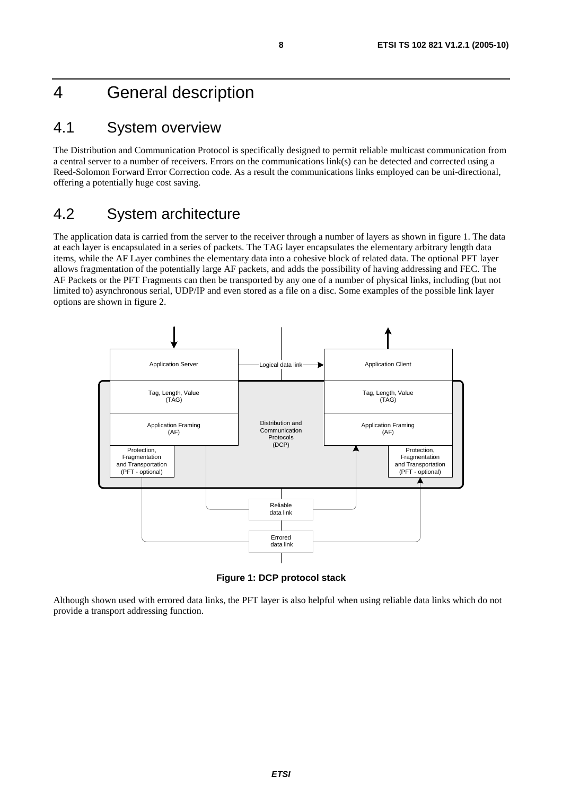### 4 General description

#### 4.1 System overview

The Distribution and Communication Protocol is specifically designed to permit reliable multicast communication from a central server to a number of receivers. Errors on the communications link(s) can be detected and corrected using a Reed-Solomon Forward Error Correction code. As a result the communications links employed can be uni-directional, offering a potentially huge cost saving.

### 4.2 System architecture

The application data is carried from the server to the receiver through a number of layers as shown in figure 1. The data at each layer is encapsulated in a series of packets. The TAG layer encapsulates the elementary arbitrary length data items, while the AF Layer combines the elementary data into a cohesive block of related data. The optional PFT layer allows fragmentation of the potentially large AF packets, and adds the possibility of having addressing and FEC. The AF Packets or the PFT Fragments can then be transported by any one of a number of physical links, including (but not limited to) asynchronous serial, UDP/IP and even stored as a file on a disc. Some examples of the possible link layer options are shown in figure 2.



**Figure 1: DCP protocol stack** 

Although shown used with errored data links, the PFT layer is also helpful when using reliable data links which do not provide a transport addressing function.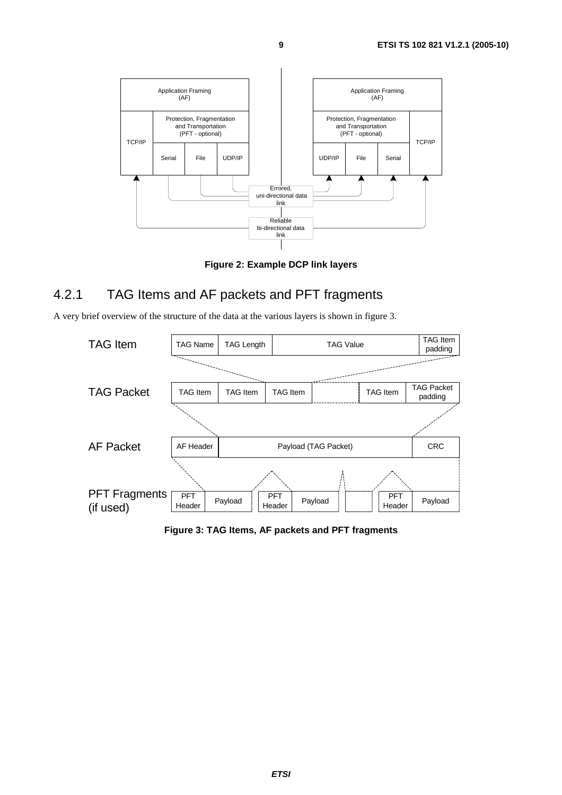

**Figure 2: Example DCP link layers** 

#### 4.2.1 TAG Items and AF packets and PFT fragments

A very brief overview of the structure of the data at the various layers is shown in figure 3.



**Figure 3: TAG Items, AF packets and PFT fragments**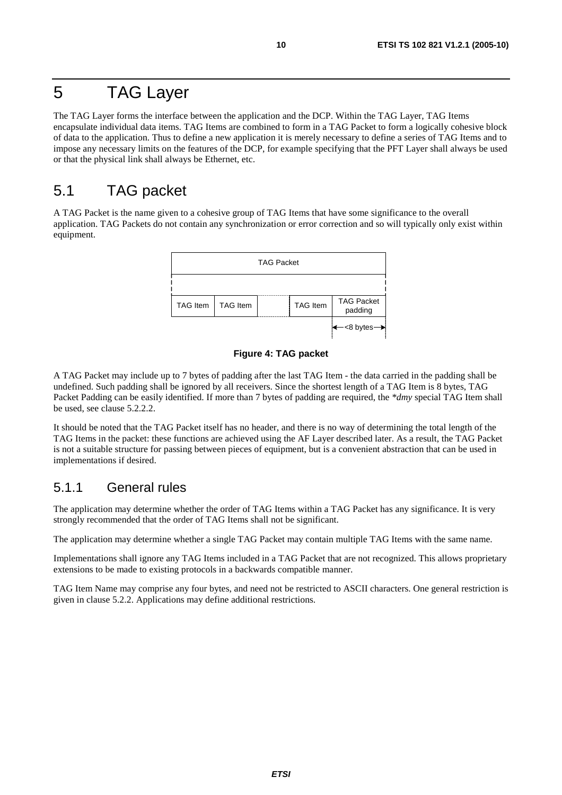### 5 TAG Layer

The TAG Layer forms the interface between the application and the DCP. Within the TAG Layer, TAG Items encapsulate individual data items. TAG Items are combined to form in a TAG Packet to form a logically cohesive block of data to the application. Thus to define a new application it is merely necessary to define a series of TAG Items and to impose any necessary limits on the features of the DCP, for example specifying that the PFT Layer shall always be used or that the physical link shall always be Ethernet, etc.

### 5.1 TAG packet

A TAG Packet is the name given to a cohesive group of TAG Items that have some significance to the overall application. TAG Packets do not contain any synchronization or error correction and so will typically only exist within equipment.



#### **Figure 4: TAG packet**

A TAG Packet may include up to 7 bytes of padding after the last TAG Item - the data carried in the padding shall be undefined. Such padding shall be ignored by all receivers. Since the shortest length of a TAG Item is 8 bytes, TAG Packet Padding can be easily identified. If more than 7 bytes of padding are required, the *\*dmy* special TAG Item shall be used, see clause 5.2.2.2.

It should be noted that the TAG Packet itself has no header, and there is no way of determining the total length of the TAG Items in the packet: these functions are achieved using the AF Layer described later. As a result, the TAG Packet is not a suitable structure for passing between pieces of equipment, but is a convenient abstraction that can be used in implementations if desired.

#### 5.1.1 General rules

The application may determine whether the order of TAG Items within a TAG Packet has any significance. It is very strongly recommended that the order of TAG Items shall not be significant.

The application may determine whether a single TAG Packet may contain multiple TAG Items with the same name.

Implementations shall ignore any TAG Items included in a TAG Packet that are not recognized. This allows proprietary extensions to be made to existing protocols in a backwards compatible manner.

TAG Item Name may comprise any four bytes, and need not be restricted to ASCII characters. One general restriction is given in clause 5.2.2. Applications may define additional restrictions.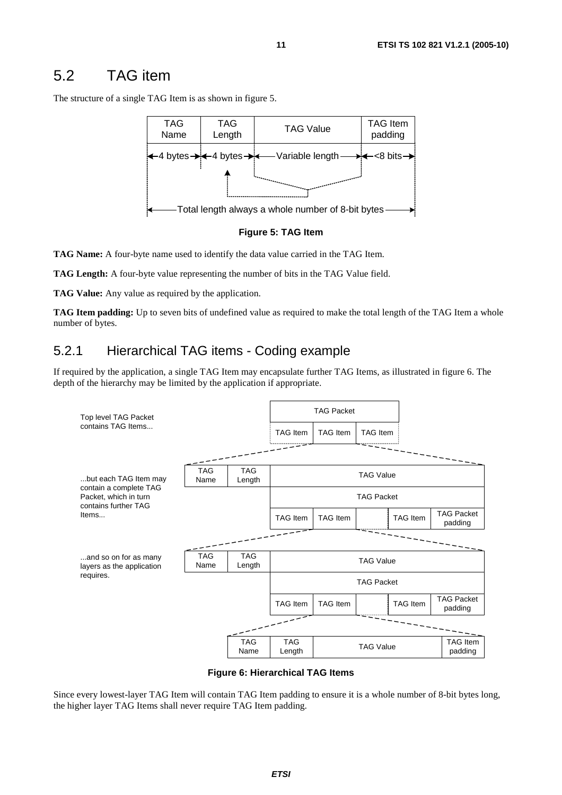### 5.2 TAG item

The structure of a single TAG Item is as shown in figure 5.





**TAG Name:** A four-byte name used to identify the data value carried in the TAG Item.

**TAG Length:** A four-byte value representing the number of bits in the TAG Value field.

**TAG Value:** Any value as required by the application.

**TAG Item padding:** Up to seven bits of undefined value as required to make the total length of the TAG Item a whole number of bytes.

#### 5.2.1 Hierarchical TAG items - Coding example

If required by the application, a single TAG Item may encapsulate further TAG Items, as illustrated in figure 6. The depth of the hierarchy may be limited by the application if appropriate.



**Figure 6: Hierarchical TAG Items** 

Since every lowest-layer TAG Item will contain TAG Item padding to ensure it is a whole number of 8-bit bytes long, the higher layer TAG Items shall never require TAG Item padding.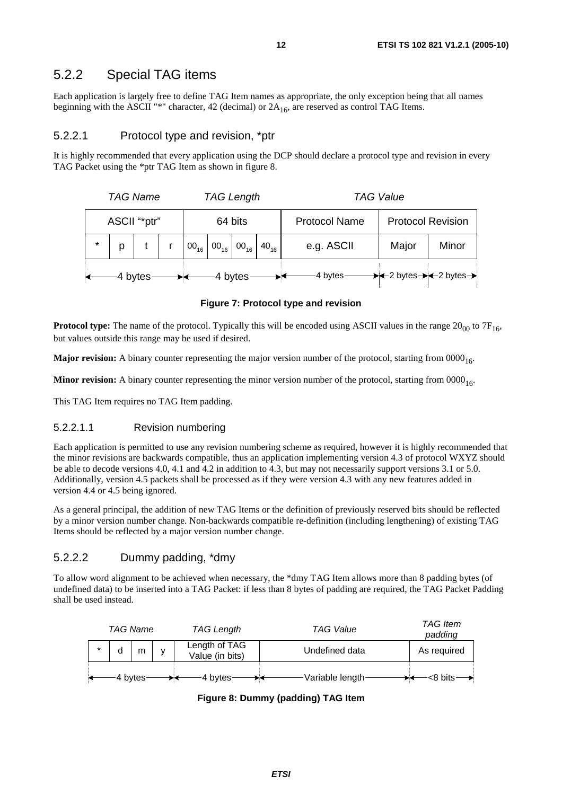#### 5.2.2 Special TAG items

Each application is largely free to define TAG Item names as appropriate, the only exception being that all names beginning with the ASCII "\*" character, 42 (decimal) or  $2A_{16}$ , are reserved as control TAG Items.

#### 5.2.2.1 Protocol type and revision, \*ptr

It is highly recommended that every application using the DCP should declare a protocol type and revision in every TAG Packet using the \*ptr TAG Item as shown in figure 8.

|              | <b>TAG Name</b> |  |         | <b>TAG Length</b> |         |                                                              |                      | <b>TAG Value</b>                                            |       |       |  |
|--------------|-----------------|--|---------|-------------------|---------|--------------------------------------------------------------|----------------------|-------------------------------------------------------------|-------|-------|--|
| ASCII "*ptr" |                 |  | 64 bits |                   |         |                                                              | <b>Protocol Name</b> | <b>Protocol Revision</b>                                    |       |       |  |
| $\star$      | p               |  |         |                   |         | $00_{16}$ 00 <sub>16</sub> 00 <sub>16</sub> 40 <sub>16</sub> |                      | e.g. ASCII                                                  | Major | Minor |  |
| 4 bytes      |                 |  |         |                   | 4 bytes |                                                              | -4 bytes-            | $\rightarrow$ +2 bytes $\rightarrow$ +2 bytes $\rightarrow$ |       |       |  |

#### **Figure 7: Protocol type and revision**

**Protocol type:** The name of the protocol. Typically this will be encoded using ASCII values in the range  $20_{00}$  to  $7F_{16}$ , but values outside this range may be used if desired.

**Major revision:** A binary counter representing the major version number of the protocol, starting from 0000<sub>16</sub>.

**Minor revision:** A binary counter representing the minor version number of the protocol, starting from  $0000_{16}$ .

This TAG Item requires no TAG Item padding.

#### 5.2.2.1.1 Revision numbering

Each application is permitted to use any revision numbering scheme as required, however it is highly recommended that the minor revisions are backwards compatible, thus an application implementing version 4.3 of protocol WXYZ should be able to decode versions 4.0, 4.1 and 4.2 in addition to 4.3, but may not necessarily support versions 3.1 or 5.0. Additionally, version 4.5 packets shall be processed as if they were version 4.3 with any new features added in version 4.4 or 4.5 being ignored.

As a general principal, the addition of new TAG Items or the definition of previously reserved bits should be reflected by a minor version number change. Non-backwards compatible re-definition (including lengthening) of existing TAG Items should be reflected by a major version number change.

#### 5.2.2.2 Dummy padding, \*dmy

To allow word alignment to be achieved when necessary, the \*dmy TAG Item allows more than 8 padding bytes (of undefined data) to be inserted into a TAG Packet: if less than 8 bytes of padding are required, the TAG Packet Padding shall be used instead.

| <b>TAG Name</b> |   |              | TAG Length                       | <b>TAG Value</b> | <b>TAG</b> Item<br>padding |
|-----------------|---|--------------|----------------------------------|------------------|----------------------------|
| d               | m | $\mathsf{V}$ | Length of TAG<br>Value (in bits) | Undefined data   | As required                |
| -4 bytes        |   |              | 4 bytes                          | Variable length  | $-$ 8 bits $-$             |

**Figure 8: Dummy (padding) TAG Item**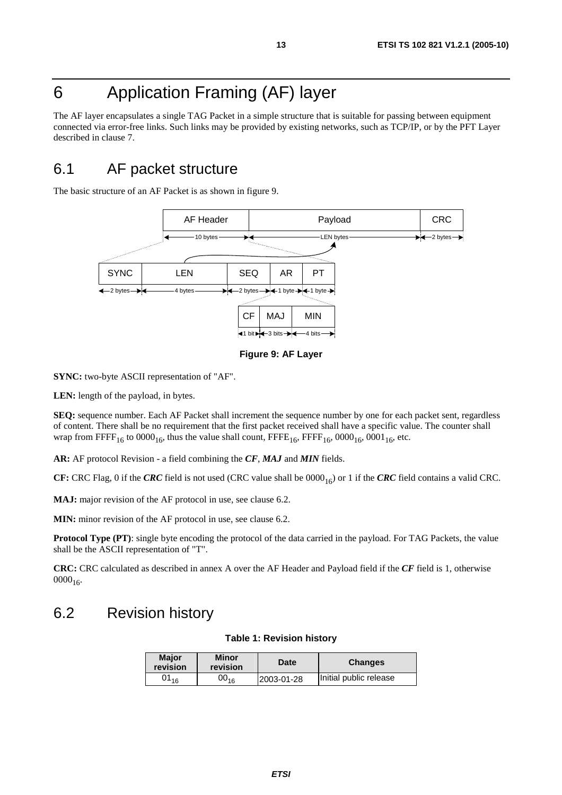# 6 Application Framing (AF) layer

The AF layer encapsulates a single TAG Packet in a simple structure that is suitable for passing between equipment connected via error-free links. Such links may be provided by existing networks, such as TCP/IP, or by the PFT Layer described in clause 7.

### 6.1 AF packet structure

The basic structure of an AF Packet is as shown in figure 9.



**Figure 9: AF Layer** 

**SYNC:** two-byte ASCII representation of "AF".

**LEN:** length of the payload, in bytes.

**SEQ:** sequence number. Each AF Packet shall increment the sequence number by one for each packet sent, regardless of content. There shall be no requirement that the first packet received shall have a specific value. The counter shall wrap from FFFF<sub>16</sub> to  $0000_{16}$ , thus the value shall count, FFFE<sub>16</sub>, FFFF<sub>16</sub>, 0000<sub>16</sub>, 0001<sub>16</sub>, etc.

**AR:** AF protocol Revision - a field combining the *CF*, *MAJ* and *MIN* fields.

**CF:** CRC Flag, 0 if the *CRC* field is not used (CRC value shall be  $0000_{16}$ ) or 1 if the *CRC* field contains a valid CRC.

**MAJ:** major revision of the AF protocol in use, see clause 6.2.

**MIN:** minor revision of the AF protocol in use, see clause 6.2.

**Protocol Type (PT)**: single byte encoding the protocol of the data carried in the payload. For TAG Packets, the value shall be the ASCII representation of "T".

**CRC:** CRC calculated as described in annex A over the AF Header and Payload field if the *CF* field is 1, otherwise  $0000_{16}$ .

### 6.2 Revision history

#### **Table 1: Revision history**

| <b>Maior</b><br>revision | <b>Minor</b><br>revision | <b>Date</b> | <b>Changes</b>         |
|--------------------------|--------------------------|-------------|------------------------|
| $01_{16}$                | $00_{16}$                | 2003-01-28  | Initial public release |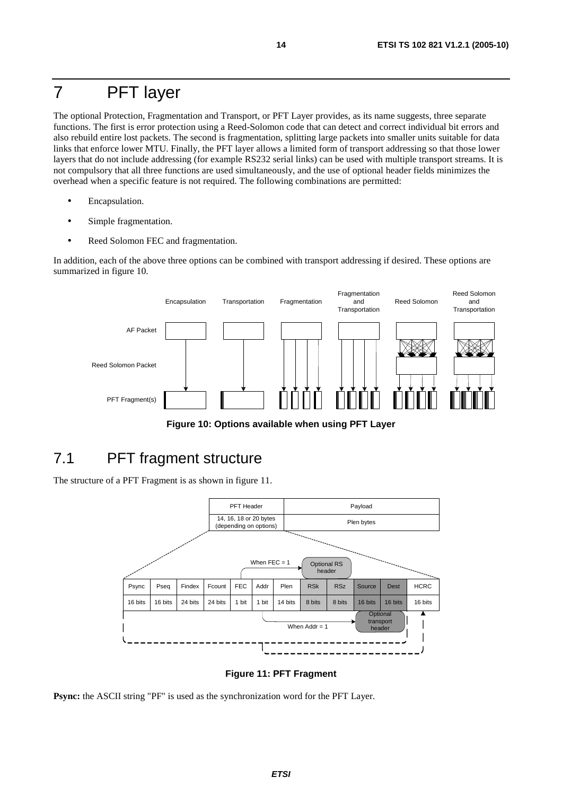### 7 PFT layer

The optional Protection, Fragmentation and Transport, or PFT Layer provides, as its name suggests, three separate functions. The first is error protection using a Reed-Solomon code that can detect and correct individual bit errors and also rebuild entire lost packets. The second is fragmentation, splitting large packets into smaller units suitable for data links that enforce lower MTU. Finally, the PFT layer allows a limited form of transport addressing so that those lower layers that do not include addressing (for example RS232 serial links) can be used with multiple transport streams. It is not compulsory that all three functions are used simultaneously, and the use of optional header fields minimizes the overhead when a specific feature is not required. The following combinations are permitted:

- Encapsulation.
- Simple fragmentation.
- Reed Solomon FEC and fragmentation.

In addition, each of the above three options can be combined with transport addressing if desired. These options are summarized in figure 10.



**Figure 10: Options available when using PFT Layer** 

### 7.1 PFT fragment structure

The structure of a PFT Fragment is as shown in figure 11.



**Figure 11: PFT Fragment** 

**Psync:** the ASCII string "PF" is used as the synchronization word for the PFT Layer.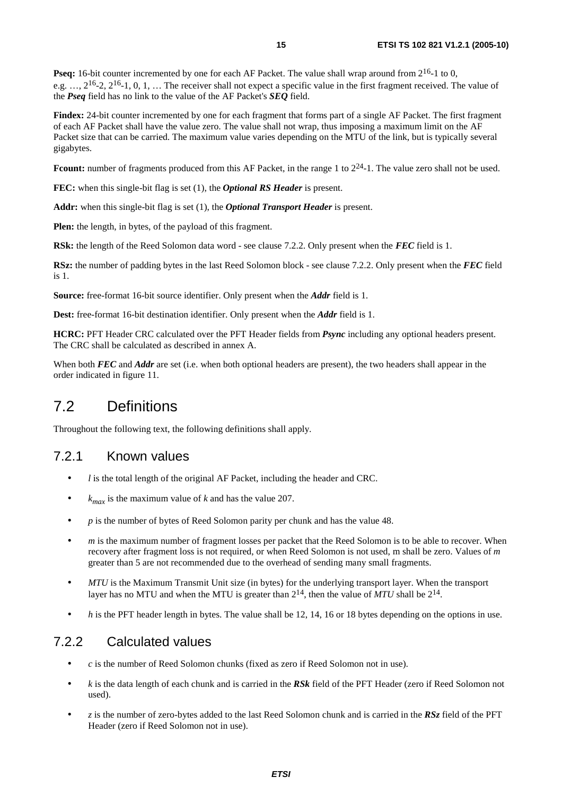**Pseq:** 16-bit counter incremented by one for each AF Packet. The value shall wrap around from  $2^{16}$ -1 to 0, e.g.  $\ldots$ ,  $2^{16}$ -2,  $2^{16}$ -1, 0, 1,  $\ldots$  The receiver shall not expect a specific value in the first fragment received. The value of the *Pseq* field has no link to the value of the AF Packet's *SEQ* field.

**Findex:** 24-bit counter incremented by one for each fragment that forms part of a single AF Packet. The first fragment of each AF Packet shall have the value zero. The value shall not wrap, thus imposing a maximum limit on the AF Packet size that can be carried. The maximum value varies depending on the MTU of the link, but is typically several gigabytes.

Fcount: number of fragments produced from this AF Packet, in the range 1 to  $2^{24}$ -1. The value zero shall not be used.

**FEC:** when this single-bit flag is set (1), the *Optional RS Header* is present.

**Addr:** when this single-bit flag is set (1), the *Optional Transport Header* is present.

**Plen:** the length, in bytes, of the payload of this fragment.

**RSk:** the length of the Reed Solomon data word - see clause 7.2.2. Only present when the *FEC* field is 1.

**RSz:** the number of padding bytes in the last Reed Solomon block - see clause 7.2.2. Only present when the *FEC* field is 1.

**Source:** free-format 16-bit source identifier. Only present when the *Addr* field is 1.

**Dest:** free-format 16-bit destination identifier. Only present when the *Addr* field is 1.

**HCRC:** PFT Header CRC calculated over the PFT Header fields from *Psync* including any optional headers present. The CRC shall be calculated as described in annex A.

When both *FEC* and *Addr* are set (i.e. when both optional headers are present), the two headers shall appear in the order indicated in figure 11.

### 7.2 Definitions

Throughout the following text, the following definitions shall apply.

#### 7.2.1 Known values

- *l* is the total length of the original AF Packet, including the header and CRC.
- $k_{max}$  is the maximum value of *k* and has the value 207.
- *p* is the number of bytes of Reed Solomon parity per chunk and has the value 48.
- *m* is the maximum number of fragment losses per packet that the Reed Solomon is to be able to recover. When recovery after fragment loss is not required, or when Reed Solomon is not used, m shall be zero. Values of *m* greater than 5 are not recommended due to the overhead of sending many small fragments.
- *MTU* is the Maximum Transmit Unit size (in bytes) for the underlying transport layer. When the transport layer has no MTU and when the MTU is greater than  $2^{14}$ , then the value of *MTU* shall be  $2^{14}$ .
- *h* is the PFT header length in bytes. The value shall be 12, 14, 16 or 18 bytes depending on the options in use.

#### 7.2.2 Calculated values

- *c* is the number of Reed Solomon chunks (fixed as zero if Reed Solomon not in use).
- *k* is the data length of each chunk and is carried in the *RSk* field of the PFT Header (zero if Reed Solomon not used).
- *z* is the number of zero-bytes added to the last Reed Solomon chunk and is carried in the *RSz* field of the PFT Header (zero if Reed Solomon not in use).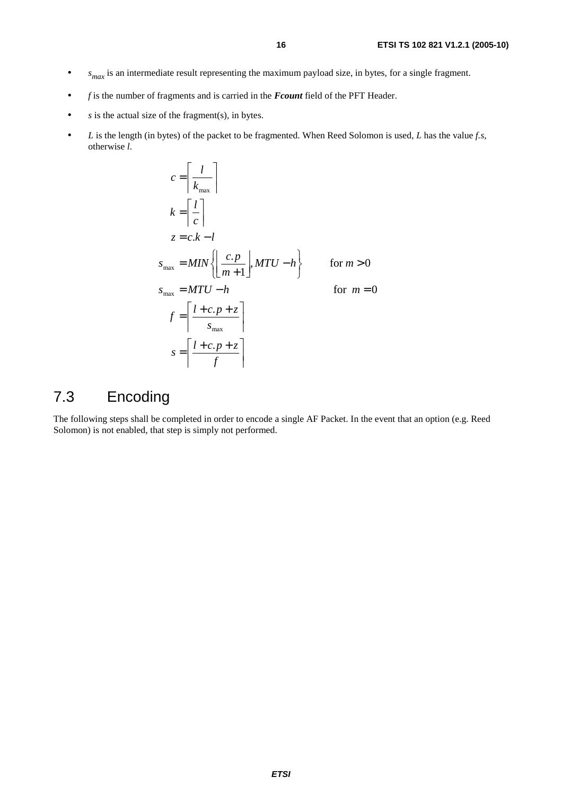- *s<sub>max</sub>* is an intermediate result representing the maximum payload size, in bytes, for a single fragment.
- *f* is the number of fragments and is carried in the *Fcount* field of the PFT Header.
- *s* is the actual size of the fragment(s), in bytes.
- *L* is the length (in bytes) of the packet to be fragmented. When Reed Solomon is used, *L* has the value *f.s*, otherwise *l*.

$$
c = \left[ \frac{l}{k_{\text{max}}} \right]
$$
  
\n
$$
k = \left[ \frac{l}{c} \right]
$$
  
\n
$$
z = c.k - l
$$
  
\n
$$
s_{\text{max}} = MIN \left\{ \left| \frac{c.p}{m+1} \right|, MTU - h \right\}
$$
 for  $m > 0$   
\n
$$
s_{\text{max}} = MTU - h
$$
 for  $m = 0$   
\n
$$
f = \left[ \frac{l + c.p + z}{s_{\text{max}}} \right]
$$
  
\n
$$
s = \left[ \frac{l + c.p + z}{f} \right]
$$

### 7.3 Encoding

The following steps shall be completed in order to encode a single AF Packet. In the event that an option (e.g. Reed Solomon) is not enabled, that step is simply not performed.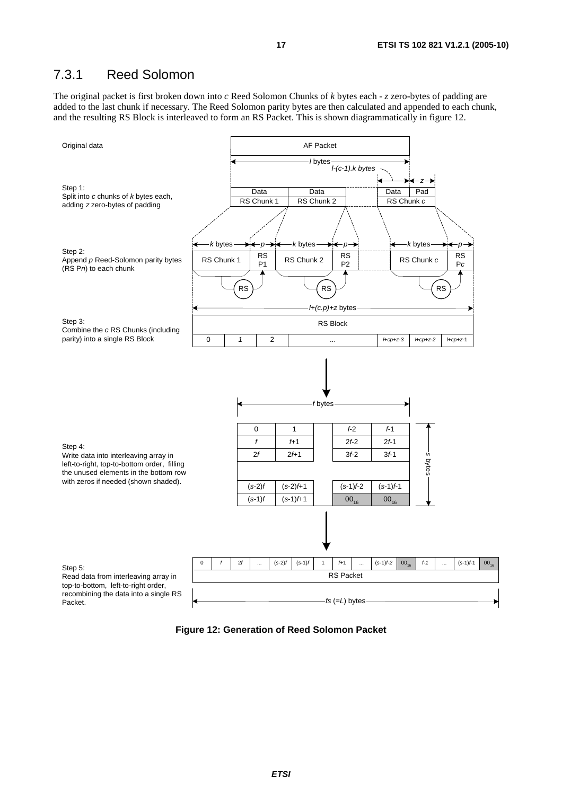#### 7.3.1 Reed Solomon

The original packet is first broken down into *c* Reed Solomon Chunks of *k* bytes each - *z* zero-bytes of padding are added to the last chunk if necessary. The Reed Solomon parity bytes are then calculated and appended to each chunk, and the resulting RS Block is interleaved to form an RS Packet. This is shown diagrammatically in figure 12.



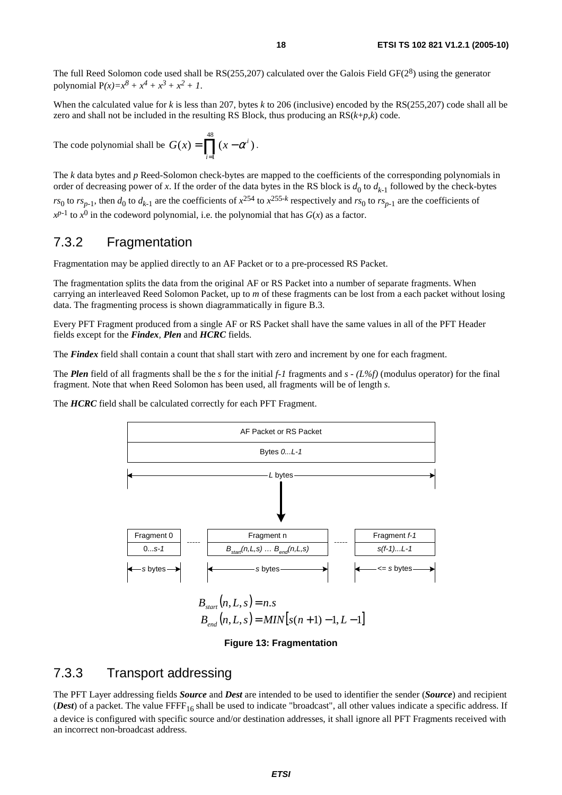The full Reed Solomon code used shall be  $RS(255,207)$  calculated over the Galois Field GF( $2^8$ ) using the generator polynomial  $P(x)=x^8 + x^4 + x^3 + x^2 + 1$ .

When the calculated value for *k* is less than 207, bytes *k* to 206 (inclusive) encoded by the RS(255,207) code shall all be zero and shall not be included in the resulting RS Block, thus producing an RS(*k*+*p*,*k*) code.

The code polynomial shall be  $G(x) = \prod_{i=1} (x -$ 48 1  $(x) = \prod_{i} (x - \alpha^{i})$ *i*  $G(x) = \prod (x - \alpha^i)$ .

The *k* data bytes and *p* Reed-Solomon check-bytes are mapped to the coefficients of the corresponding polynomials in order of decreasing power of x. If the order of the data bytes in the RS block is  $d_0$  to  $d_{k-1}$  followed by the check-bytes *rs*<sub>0</sub> to *rs*<sub>*n*-1</sub>, then *d*<sub>0</sub> to *d*<sub>*k*-1</sub> are the coefficients of  $x^{254}$  to  $x^{255-k}$  respectively and *rs*<sub>0</sub> to *rs*<sub>*n*-1</sub> are the coefficients of  $x^{p-1}$  to  $x^0$  in the codeword polynomial, i.e. the polynomial that has *G*(*x*) as a factor.

#### 7.3.2 Fragmentation

Fragmentation may be applied directly to an AF Packet or to a pre-processed RS Packet.

The fragmentation splits the data from the original AF or RS Packet into a number of separate fragments. When carrying an interleaved Reed Solomon Packet, up to *m* of these fragments can be lost from a each packet without losing data. The fragmenting process is shown diagrammatically in figure B.3.

Every PFT Fragment produced from a single AF or RS Packet shall have the same values in all of the PFT Header fields except for the *Findex, Plen* and *HCRC* fields.

The *Findex* field shall contain a count that shall start with zero and increment by one for each fragment.

The *Plen* field of all fragments shall be the *s* for the initial *f-1* fragments and *s - (L%f)* (modulus operator) for the final fragment. Note that when Reed Solomon has been used, all fragments will be of length *s*.

The *HCRC* field shall be calculated correctly for each PFT Fragment.



#### **Figure 13: Fragmentation**

#### 7.3.3 Transport addressing

The PFT Layer addressing fields *Source* and *Dest* are intended to be used to identifier the sender (*Source*) and recipient (*Dest*) of a packet. The value FFFF<sub>16</sub> shall be used to indicate "broadcast", all other values indicate a specific address. If a device is configured with specific source and/or destination addresses, it shall ignore all PFT Fragments received with an incorrect non-broadcast address.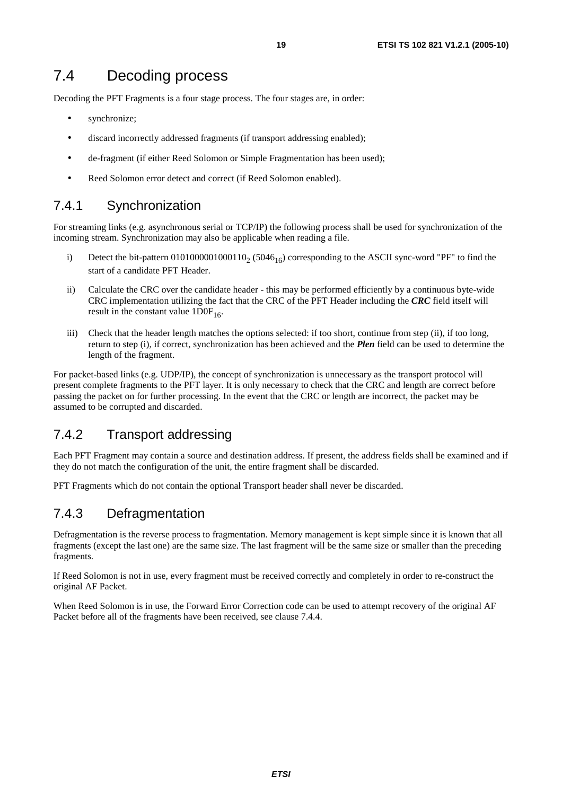### 7.4 Decoding process

Decoding the PFT Fragments is a four stage process. The four stages are, in order:

- synchronize;
- discard incorrectly addressed fragments (if transport addressing enabled);
- de-fragment (if either Reed Solomon or Simple Fragmentation has been used);
- Reed Solomon error detect and correct (if Reed Solomon enabled).

#### 7.4.1 Synchronization

For streaming links (e.g. asynchronous serial or TCP/IP) the following process shall be used for synchronization of the incoming stream. Synchronization may also be applicable when reading a file.

- i) Detect the bit-pattern  $0101000001000110<sub>2</sub>$  (5046<sub>16</sub>) corresponding to the ASCII sync-word "PF" to find the start of a candidate PFT Header.
- ii) Calculate the CRC over the candidate header this may be performed efficiently by a continuous byte-wide CRC implementation utilizing the fact that the CRC of the PFT Header including the *CRC* field itself will result in the constant value  $1DOF<sub>16</sub>$ .
- iii) Check that the header length matches the options selected: if too short, continue from step (ii), if too long, return to step (i), if correct, synchronization has been achieved and the *Plen* field can be used to determine the length of the fragment.

For packet-based links (e.g. UDP/IP), the concept of synchronization is unnecessary as the transport protocol will present complete fragments to the PFT layer. It is only necessary to check that the CRC and length are correct before passing the packet on for further processing. In the event that the CRC or length are incorrect, the packet may be assumed to be corrupted and discarded.

#### 7.4.2 Transport addressing

Each PFT Fragment may contain a source and destination address. If present, the address fields shall be examined and if they do not match the configuration of the unit, the entire fragment shall be discarded.

PFT Fragments which do not contain the optional Transport header shall never be discarded.

#### 7.4.3 Defragmentation

Defragmentation is the reverse process to fragmentation. Memory management is kept simple since it is known that all fragments (except the last one) are the same size. The last fragment will be the same size or smaller than the preceding fragments.

If Reed Solomon is not in use, every fragment must be received correctly and completely in order to re-construct the original AF Packet.

When Reed Solomon is in use, the Forward Error Correction code can be used to attempt recovery of the original AF Packet before all of the fragments have been received, see clause 7.4.4.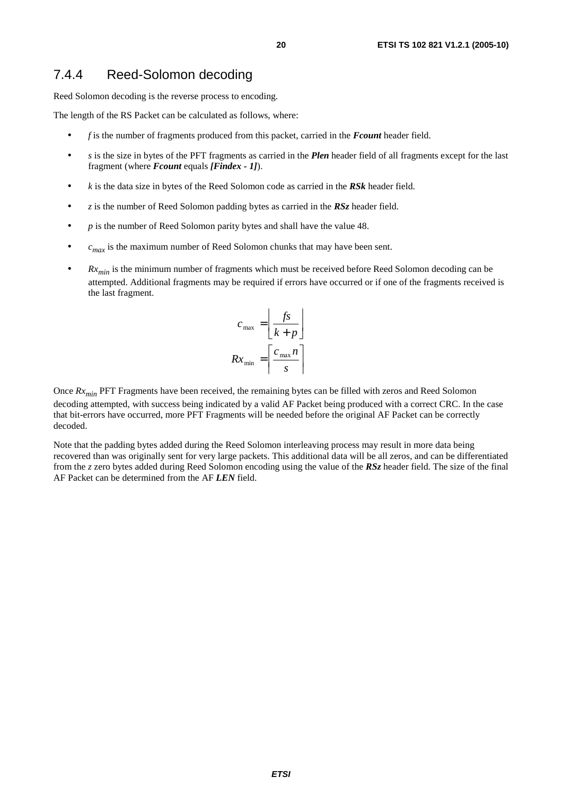#### 7.4.4 Reed-Solomon decoding

Reed Solomon decoding is the reverse process to encoding.

The length of the RS Packet can be calculated as follows, where:

- *f* is the number of fragments produced from this packet, carried in the *Fcount* header field.
- *s* is the size in bytes of the PFT fragments as carried in the *Plen* header field of all fragments except for the last fragment (where *Fcount* equals *[Findex - 1]*).
- *k* is the data size in bytes of the Reed Solomon code as carried in the *RSk* header field.
- *z* is the number of Reed Solomon padding bytes as carried in the *RSz* header field.
- *p* is the number of Reed Solomon parity bytes and shall have the value 48.
- $\bullet$  *c<sub>max</sub>* is the maximum number of Reed Solomon chunks that may have been sent.
- $Rx_{min}$  is the minimum number of fragments which must be received before Reed Solomon decoding can be attempted. Additional fragments may be required if errors have occurred or if one of the fragments received is the last fragment.

$$
c_{\max} = \left\lfloor \frac{fs}{k+p} \right\rfloor
$$

$$
Rx_{\min} = \left\lceil \frac{c_{\max} n}{s} \right\rceil
$$

Once  $Rx_{min}$  PFT Fragments have been received, the remaining bytes can be filled with zeros and Reed Solomon decoding attempted, with success being indicated by a valid AF Packet being produced with a correct CRC. In the case that bit-errors have occurred, more PFT Fragments will be needed before the original AF Packet can be correctly decoded.

Note that the padding bytes added during the Reed Solomon interleaving process may result in more data being recovered than was originally sent for very large packets. This additional data will be all zeros, and can be differentiated from the *z* zero bytes added during Reed Solomon encoding using the value of the *RSz* header field. The size of the final AF Packet can be determined from the AF *LEN* field.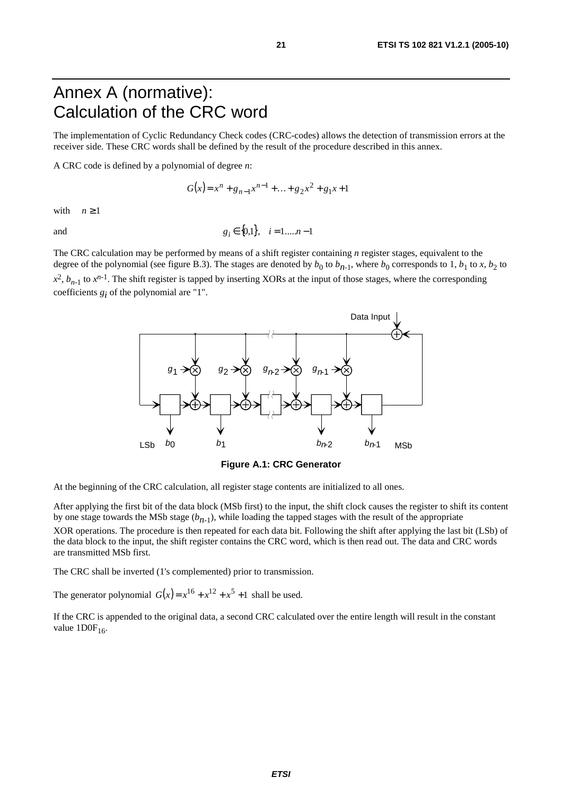### Annex A (normative): Calculation of the CRC word

The implementation of Cyclic Redundancy Check codes (CRC-codes) allows the detection of transmission errors at the receiver side. These CRC words shall be defined by the result of the procedure described in this annex.

A CRC code is defined by a polynomial of degree *n*:

$$
G(x) = xn + gn-1xn-1 + ... + g2x2 + g1x + 1
$$

with  $n \geq 1$ 

and  $g_i \in \{0,1\}, \quad i = 1,...,n-1$ 

The CRC calculation may be performed by means of a shift register containing *n* register stages, equivalent to the degree of the polynomial (see figure B.3). The stages are denoted by  $b_0$  to  $b_{n-1}$ , where  $b_0$  corresponds to 1,  $b_1$  to *x*,  $b_2$  to  $x^2$ ,  $b_{n-1}$  to  $x^{n-1}$ . The shift register is tapped by inserting XORs at the input of those stages, where the corresponding coefficients  $g_i$  of the polynomial are "1".



**Figure A.1: CRC Generator** 

At the beginning of the CRC calculation, all register stage contents are initialized to all ones.

After applying the first bit of the data block (MSb first) to the input, the shift clock causes the register to shift its content by one stage towards the MSb stage  $(b_{n-1})$ , while loading the tapped stages with the result of the appropriate XOR operations. The procedure is then repeated for each data bit. Following the shift after applying the last bit (LSb) of the data block to the input, the shift register contains the CRC word, which is then read out. The data and CRC words are transmitted MSb first.

The CRC shall be inverted (1's complemented) prior to transmission.

The generator polynomial  $G(x) = x^{16} + x^{12} + x^5 + 1$  shall be used.

If the CRC is appended to the original data, a second CRC calculated over the entire length will result in the constant value  $1DOF<sub>16</sub>$ .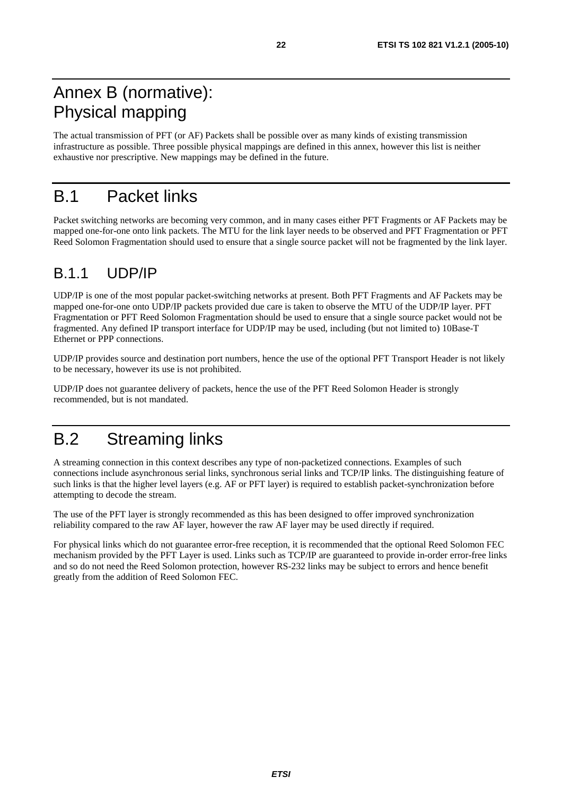# Annex B (normative): Physical mapping

The actual transmission of PFT (or AF) Packets shall be possible over as many kinds of existing transmission infrastructure as possible. Three possible physical mappings are defined in this annex, however this list is neither exhaustive nor prescriptive. New mappings may be defined in the future.

# B.1 Packet links

Packet switching networks are becoming very common, and in many cases either PFT Fragments or AF Packets may be mapped one-for-one onto link packets. The MTU for the link layer needs to be observed and PFT Fragmentation or PFT Reed Solomon Fragmentation should used to ensure that a single source packet will not be fragmented by the link layer.

### B.1.1 UDP/IP

UDP/IP is one of the most popular packet-switching networks at present. Both PFT Fragments and AF Packets may be mapped one-for-one onto UDP/IP packets provided due care is taken to observe the MTU of the UDP/IP layer. PFT Fragmentation or PFT Reed Solomon Fragmentation should be used to ensure that a single source packet would not be fragmented. Any defined IP transport interface for UDP/IP may be used, including (but not limited to) 10Base-T Ethernet or PPP connections.

UDP/IP provides source and destination port numbers, hence the use of the optional PFT Transport Header is not likely to be necessary, however its use is not prohibited.

UDP/IP does not guarantee delivery of packets, hence the use of the PFT Reed Solomon Header is strongly recommended, but is not mandated.

# B.2 Streaming links

A streaming connection in this context describes any type of non-packetized connections. Examples of such connections include asynchronous serial links, synchronous serial links and TCP/IP links. The distinguishing feature of such links is that the higher level layers (e.g. AF or PFT layer) is required to establish packet-synchronization before attempting to decode the stream.

The use of the PFT layer is strongly recommended as this has been designed to offer improved synchronization reliability compared to the raw AF layer, however the raw AF layer may be used directly if required.

For physical links which do not guarantee error-free reception, it is recommended that the optional Reed Solomon FEC mechanism provided by the PFT Layer is used. Links such as TCP/IP are guaranteed to provide in-order error-free links and so do not need the Reed Solomon protection, however RS-232 links may be subject to errors and hence benefit greatly from the addition of Reed Solomon FEC.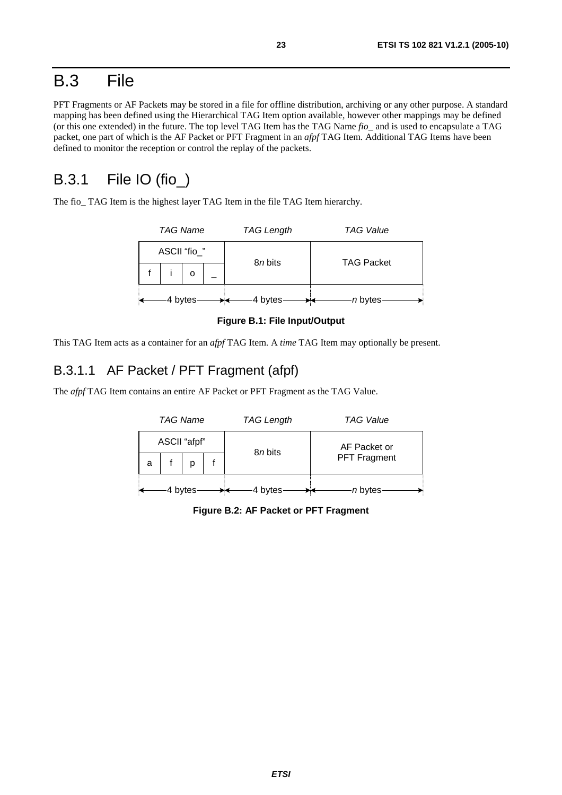### B.3 File

PFT Fragments or AF Packets may be stored in a file for offline distribution, archiving or any other purpose. A standard mapping has been defined using the Hierarchical TAG Item option available, however other mappings may be defined (or this one extended) in the future. The top level TAG Item has the TAG Name *fio\_* and is used to encapsulate a TAG packet, one part of which is the AF Packet or PFT Fragment in an *afpf* TAG Item. Additional TAG Items have been defined to monitor the reception or control the replay of the packets.

### B.3.1 File IO (fio\_)

The fio TAG Item is the highest layer TAG Item in the file TAG Item hierarchy.

| <b>TAG Name</b> |          | <b>TAG Length</b> | <b>TAG Value</b>  |  |
|-----------------|----------|-------------------|-------------------|--|
| ASCII "fio_"    |          | 8 <i>n</i> bits   | <b>TAG Packet</b> |  |
|                 |          |                   |                   |  |
|                 | 4 bytes- | 4 bytes           | n bytes-          |  |

**Figure B.1: File Input/Output** 

This TAG Item acts as a container for an *afpf* TAG Item. A *time* TAG Item may optionally be present.

#### B.3.1.1 AF Packet / PFT Fragment (afpf)

The *afpf* TAG Item contains an entire AF Packet or PFT Fragment as the TAG Value.

|   | <b>TAG Name</b> |         | <b>TAG Length</b> | <b>TAG Value</b>    |  |  |
|---|-----------------|---------|-------------------|---------------------|--|--|
|   | ASCII "afpf"    |         | 8 <i>n</i> bits   | AF Packet or        |  |  |
| a |                 |         |                   | <b>PFT Fragment</b> |  |  |
|   |                 | 4 bytes | 4 bytes           | n bytes             |  |  |

**Figure B.2: AF Packet or PFT Fragment**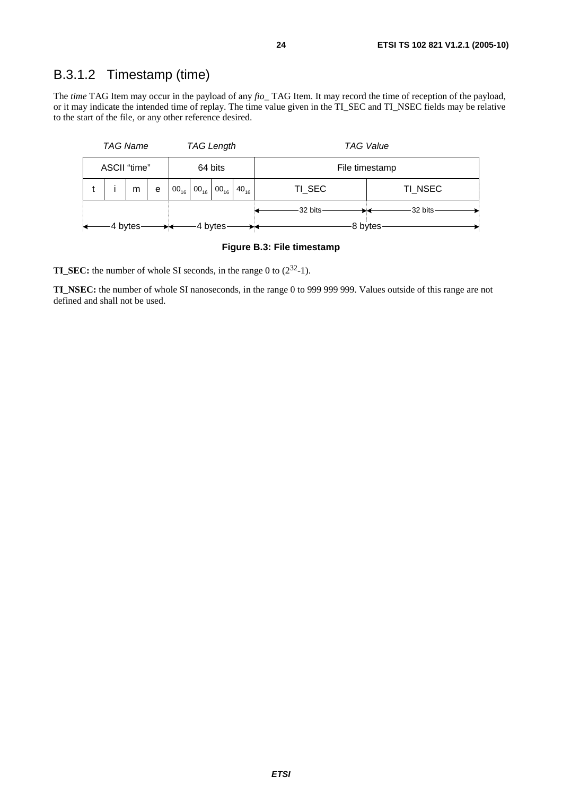#### B.3.1.2 Timestamp (time)

The *time* TAG Item may occur in the payload of any *fio\_* TAG Item. It may record the time of reception of the payload, or it may indicate the intended time of replay. The time value given in the TI\_SEC and TI\_NSEC fields may be relative to the start of the file, or any other reference desired.

|                         | <b>TAG Name</b> |   |   | <b>TAG Length</b> |                                                 |  |           | <b>TAG Value</b> |         |  |
|-------------------------|-----------------|---|---|-------------------|-------------------------------------------------|--|-----------|------------------|---------|--|
| ASCII "time"<br>64 bits |                 |   |   |                   | File timestamp                                  |  |           |                  |         |  |
|                         |                 | m | е | $00_{16}$         | $\mid$ 00 <sub>16</sub> $\mid$ 00 <sub>16</sub> |  | $40_{16}$ | TI_SEC           | TI_NSEC |  |
|                         |                 |   |   |                   |                                                 |  |           | 32 bits          | 32 bits |  |
| 4 bytes<br>4 bytes      |                 |   |   |                   |                                                 |  |           |                  | 8 bytes |  |

#### **Figure B.3: File timestamp**

**TI\_SEC:** the number of whole SI seconds, in the range 0 to (2<sup>32</sup>-1).

**TI\_NSEC:** the number of whole SI nanoseconds, in the range 0 to 999 999 999. Values outside of this range are not defined and shall not be used.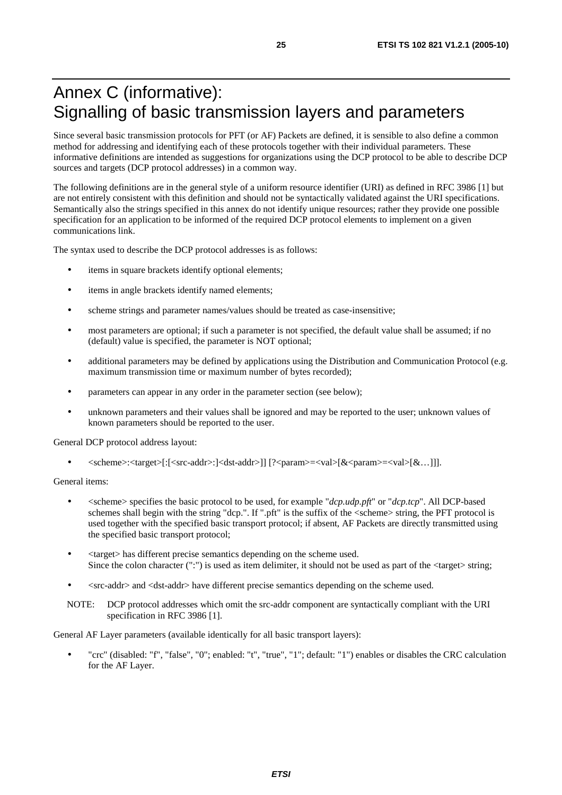# Annex C (informative): Signalling of basic transmission layers and parameters

Since several basic transmission protocols for PFT (or AF) Packets are defined, it is sensible to also define a common method for addressing and identifying each of these protocols together with their individual parameters. These informative definitions are intended as suggestions for organizations using the DCP protocol to be able to describe DCP sources and targets (DCP protocol addresses) in a common way.

The following definitions are in the general style of a uniform resource identifier (URI) as defined in RFC 3986 [1] but are not entirely consistent with this definition and should not be syntactically validated against the URI specifications. Semantically also the strings specified in this annex do not identify unique resources; rather they provide one possible specification for an application to be informed of the required DCP protocol elements to implement on a given communications link.

The syntax used to describe the DCP protocol addresses is as follows:

- items in square brackets identify optional elements;
- items in angle brackets identify named elements;
- scheme strings and parameter names/values should be treated as case-insensitive;
- most parameters are optional; if such a parameter is not specified, the default value shall be assumed; if no (default) value is specified, the parameter is NOT optional;
- additional parameters may be defined by applications using the Distribution and Communication Protocol (e.g. maximum transmission time or maximum number of bytes recorded);
- parameters can appear in any order in the parameter section (see below);
- unknown parameters and their values shall be ignored and may be reported to the user; unknown values of known parameters should be reported to the user.

General DCP protocol address layout:

• <scheme>:<target>[:[<src-addr>:]<dst-addr>]] [?<param>=<val>[&<param>=<val>[&…]]].

General items:

- <scheme> specifies the basic protocol to be used, for example "*dcp.udp.pft*" or "*dcp.tcp*". All DCP-based schemes shall begin with the string "dcp.". If ".pft" is the suffix of the <scheme> string, the PFT protocol is used together with the specified basic transport protocol; if absent, AF Packets are directly transmitted using the specified basic transport protocol;
- <target> has different precise semantics depending on the scheme used. Since the colon character (":") is used as item delimiter, it should not be used as part of the  $\langle \text{target}\rangle$  string;
- <src-addr> and <dst-addr> have different precise semantics depending on the scheme used.
- NOTE: DCP protocol addresses which omit the src-addr component are syntactically compliant with the URI specification in RFC 3986 [1].

General AF Layer parameters (available identically for all basic transport layers):

• "crc" (disabled: "f", "false", "0"; enabled: "t", "true", "1"; default: "1") enables or disables the CRC calculation for the AF Layer.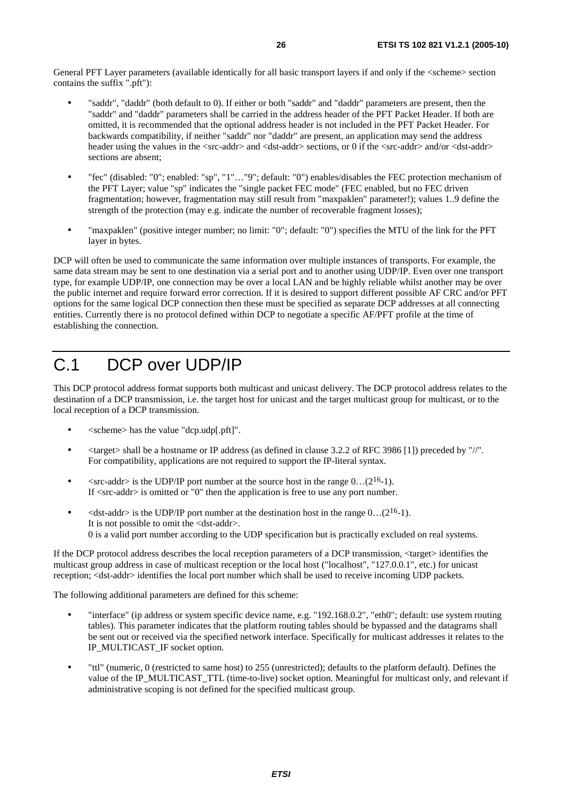General PFT Layer parameters (available identically for all basic transport layers if and only if the <scheme> section contains the suffix ".pft"):

- "saddr", "daddr" (both default to 0). If either or both "saddr" and "daddr" parameters are present, then the "saddr" and "daddr" parameters shall be carried in the address header of the PFT Packet Header. If both are omitted, it is recommended that the optional address header is not included in the PFT Packet Header. For backwards compatibility, if neither "saddr" nor "daddr" are present, an application may send the address header using the values in the <src-addr> and <dst-addr> sections, or 0 if the <src-addr> and/or <dst-addr> sections are absent;
- "fec" (disabled: "0"; enabled: "sp", "1"…"9"; default: "0") enables/disables the FEC protection mechanism of the PFT Layer; value "sp" indicates the "single packet FEC mode" (FEC enabled, but no FEC driven fragmentation; however, fragmentation may still result from "maxpaklen" parameter!); values 1..9 define the strength of the protection (may e.g. indicate the number of recoverable fragment losses);
- "maxpaklen" (positive integer number; no limit: "0"; default: "0") specifies the MTU of the link for the PFT layer in bytes.

DCP will often be used to communicate the same information over multiple instances of transports. For example, the same data stream may be sent to one destination via a serial port and to another using UDP/IP. Even over one transport type, for example UDP/IP, one connection may be over a local LAN and be highly reliable whilst another may be over the public internet and require forward error correction. If it is desired to support different possible AF CRC and/or PFT options for the same logical DCP connection then these must be specified as separate DCP addresses at all connecting entities. Currently there is no protocol defined within DCP to negotiate a specific AF/PFT profile at the time of establishing the connection.

# C.1 DCP over UDP/IP

This DCP protocol address format supports both multicast and unicast delivery. The DCP protocol address relates to the destination of a DCP transmission, i.e. the target host for unicast and the target multicast group for multicast, or to the local reception of a DCP transmission.

- <scheme> has the value "dcp.udp[.pft]".
- <target> shall be a hostname or IP address (as defined in clause 3.2.2 of RFC 3986 [1]) preceded by "//". For compatibility, applications are not required to support the IP-literal syntax.
- $\langle$ src-addr> is the UDP/IP port number at the source host in the range 0...(2<sup>16</sup>-1). If  $\langle$ src-addr $\rangle$  is omitted or "0" then the application is free to use any port number.
- $\leq$ dst-addr> is the UDP/IP port number at the destination host in the range 0...(2<sup>16</sup>-1). It is not possible to omit the <dst-addr>. 0 is a valid port number according to the UDP specification but is practically excluded on real systems.

If the DCP protocol address describes the local reception parameters of a DCP transmission, <target> identifies the multicast group address in case of multicast reception or the local host ("localhost", "127.0.0.1", etc.) for unicast reception; <dst-addr> identifies the local port number which shall be used to receive incoming UDP packets.

The following additional parameters are defined for this scheme:

- "interface" (ip address or system specific device name, e.g. "192.168.0.2", "eth0"; default: use system routing tables). This parameter indicates that the platform routing tables should be bypassed and the datagrams shall be sent out or received via the specified network interface. Specifically for multicast addresses it relates to the IP\_MULTICAST\_IF socket option.
- "ttl" (numeric, 0 (restricted to same host) to 255 (unrestricted); defaults to the platform default). Defines the value of the IP\_MULTICAST\_TTL (time-to-live) socket option. Meaningful for multicast only, and relevant if administrative scoping is not defined for the specified multicast group.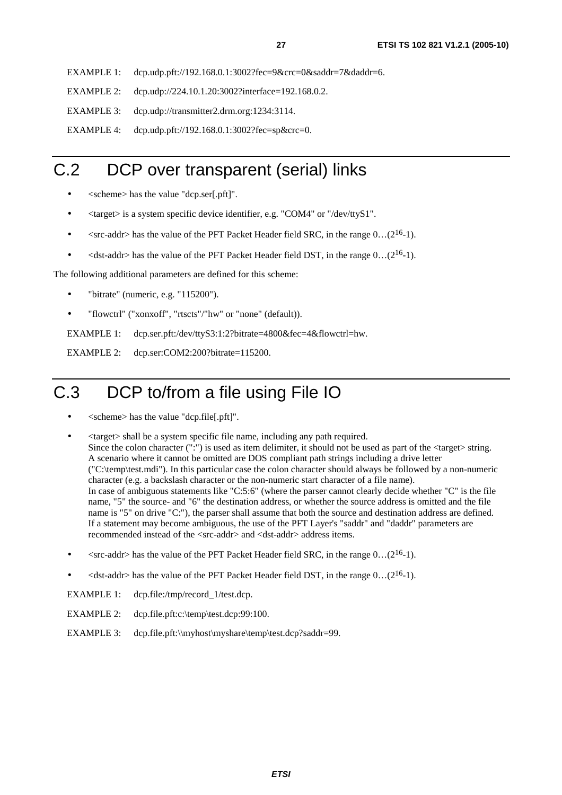EXAMPLE 1: dcp.udp.pft://192.168.0.1:3002?fec=9&crc=0&saddr=7&daddr=6.

EXAMPLE 2: dcp.udp://224.10.1.20:3002?interface=192.168.0.2.

EXAMPLE 3: dcp.udp://transmitter2.drm.org:1234:3114.

EXAMPLE 4: dcp.udp.pft://192.168.0.1:3002?fec=sp&crc=0.

# C.2 DCP over transparent (serial) links

- <scheme> has the value "dcp.ser[.pft]".
- <target> is a system specific device identifier, e.g. "COM4" or "/dev/ttyS1".
- $\leq$ src-addr> has the value of the PFT Packet Header field SRC, in the range 0...(2<sup>16</sup>-1).
- $\lt$  dst-addr> has the value of the PFT Packet Header field DST, in the range  $0 \dots (2^{16}-1)$ .

The following additional parameters are defined for this scheme:

- "bitrate" (numeric, e.g. "115200").
- "flowctrl" ("xonxoff", "rtscts"/"hw" or "none" (default)).

EXAMPLE 1: dcp.ser.pft:/dev/ttyS3:1:2?bitrate=4800&fec=4&flowctrl=hw.

EXAMPLE 2: dcp.ser:COM2:200?bitrate=115200.

# C.3 DCP to/from a file using File IO

- <scheme> has the value "dcp.file[.pft]".
- <target> shall be a system specific file name, including any path required. Since the colon character (":") is used as item delimiter, it should not be used as part of the  $\langle$ target $\rangle$  string. A scenario where it cannot be omitted are DOS compliant path strings including a drive letter ("C:\temp\test.mdi"). In this particular case the colon character should always be followed by a non-numeric character (e.g. a backslash character or the non-numeric start character of a file name). In case of ambiguous statements like "C:5:6" (where the parser cannot clearly decide whether "C" is the file name, "5" the source- and "6" the destination address, or whether the source address is omitted and the file name is "5" on drive "C:"), the parser shall assume that both the source and destination address are defined. If a statement may become ambiguous, the use of the PFT Layer's "saddr" and "daddr" parameters are recommended instead of the <src-addr> and <dst-addr> address items.
- $\langle$ src-addr> has the value of the PFT Packet Header field SRC, in the range 0...(2<sup>16</sup>-1).
- $\leq$ dst-addr> has the value of the PFT Packet Header field DST, in the range 0...(2<sup>16</sup>-1).

EXAMPLE 1: dcp.file:/tmp/record\_1/test.dcp.

- EXAMPLE 2: dcp.file.pft:c:\temp\test.dcp:99:100.
- EXAMPLE 3: dcp.file.pft:\\myhost\myshare\temp\test.dcp?saddr=99.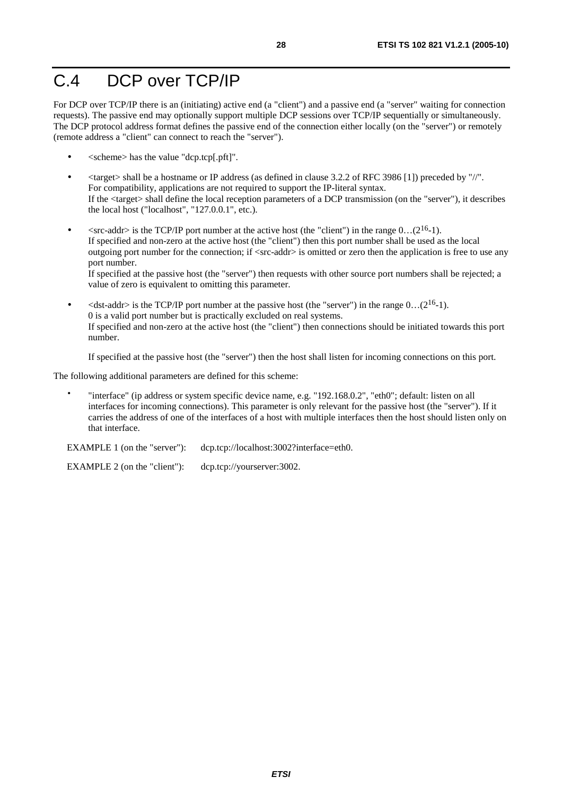# C.4 DCP over TCP/IP

For DCP over TCP/IP there is an (initiating) active end (a "client") and a passive end (a "server" waiting for connection requests). The passive end may optionally support multiple DCP sessions over TCP/IP sequentially or simultaneously. The DCP protocol address format defines the passive end of the connection either locally (on the "server") or remotely (remote address a "client" can connect to reach the "server").

- <scheme> has the value "dcp.tcp[.pft]".
- <target> shall be a hostname or IP address (as defined in clause 3.2.2 of RFC 3986 [1]) preceded by "//". For compatibility, applications are not required to support the IP-literal syntax. If the <target> shall define the local reception parameters of a DCP transmission (on the "server"), it describes the local host ("localhost", "127.0.0.1", etc.).
- $\langle$ src-addr> is the TCP/IP port number at the active host (the "client") in the range 0...(2<sup>16</sup>-1). If specified and non-zero at the active host (the "client") then this port number shall be used as the local outgoing port number for the connection; if <src-addr> is omitted or zero then the application is free to use any port number. If specified at the passive host (the "server") then requests with other source port numbers shall be rejected; a

value of zero is equivalent to omitting this parameter.  $\leq$ dst-addr> is the TCP/IP port number at the passive host (the "server") in the range 0...(2<sup>16</sup>-1).

0 is a valid port number but is practically excluded on real systems. If specified and non-zero at the active host (the "client") then connections should be initiated towards this port number.

If specified at the passive host (the "server") then the host shall listen for incoming connections on this port.

The following additional parameters are defined for this scheme:

• "interface" (ip address or system specific device name, e.g. "192.168.0.2", "eth0"; default: listen on all interfaces for incoming connections). This parameter is only relevant for the passive host (the "server"). If it carries the address of one of the interfaces of a host with multiple interfaces then the host should listen only on that interface.

EXAMPLE 1 (on the "server"): dcp.tcp://localhost:3002?interface=eth0.

EXAMPLE 2 (on the "client"): dcp.tcp://yourserver:3002.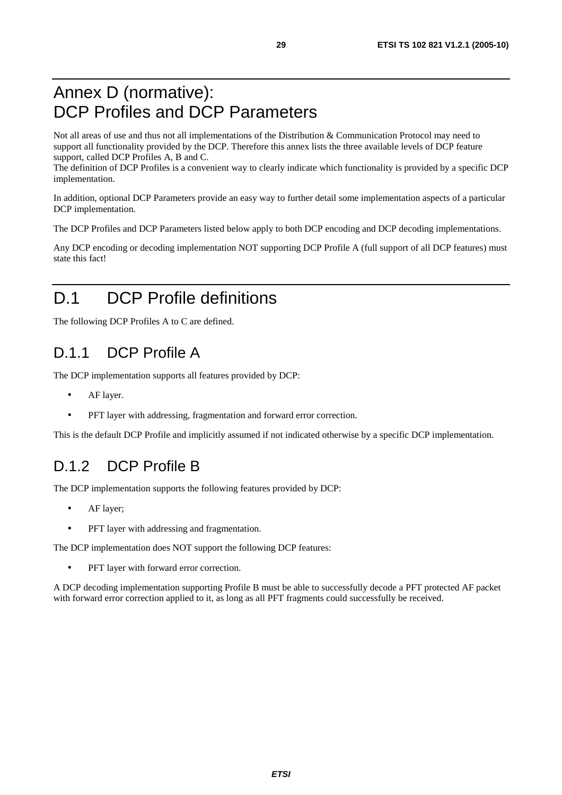# Annex D (normative): DCP Profiles and DCP Parameters

Not all areas of use and thus not all implementations of the Distribution & Communication Protocol may need to support all functionality provided by the DCP. Therefore this annex lists the three available levels of DCP feature support, called DCP Profiles A, B and C.

The definition of DCP Profiles is a convenient way to clearly indicate which functionality is provided by a specific DCP implementation.

In addition, optional DCP Parameters provide an easy way to further detail some implementation aspects of a particular DCP implementation.

The DCP Profiles and DCP Parameters listed below apply to both DCP encoding and DCP decoding implementations.

Any DCP encoding or decoding implementation NOT supporting DCP Profile A (full support of all DCP features) must state this fact!

# D.1 DCP Profile definitions

The following DCP Profiles A to C are defined.

### D.1.1 DCP Profile A

The DCP implementation supports all features provided by DCP:

- AF layer.
- PFT layer with addressing, fragmentation and forward error correction.

This is the default DCP Profile and implicitly assumed if not indicated otherwise by a specific DCP implementation.

### D.1.2 DCP Profile B

The DCP implementation supports the following features provided by DCP:

- AF layer;
- PFT layer with addressing and fragmentation.

The DCP implementation does NOT support the following DCP features:

PFT layer with forward error correction.

A DCP decoding implementation supporting Profile B must be able to successfully decode a PFT protected AF packet with forward error correction applied to it, as long as all PFT fragments could successfully be received.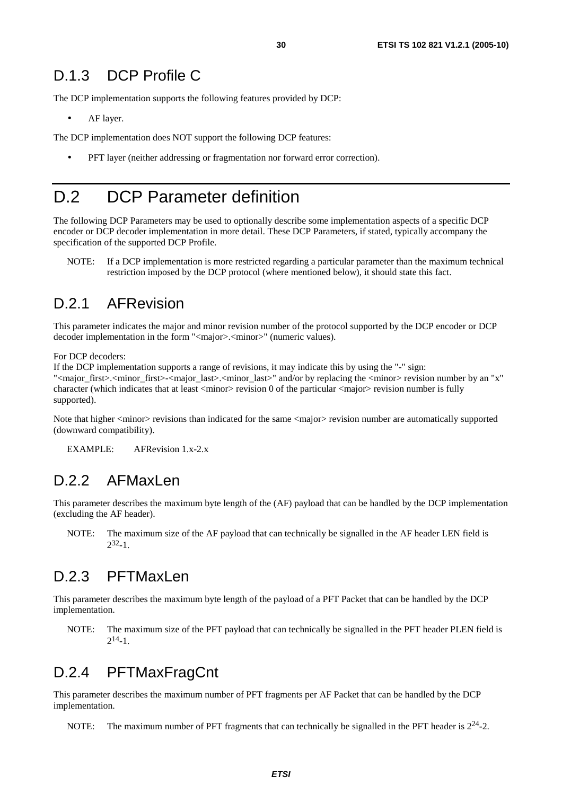#### D.1.3 DCP Profile C

The DCP implementation supports the following features provided by DCP:

AF layer.

The DCP implementation does NOT support the following DCP features:

• PFT layer (neither addressing or fragmentation nor forward error correction).

### D.2 DCP Parameter definition

The following DCP Parameters may be used to optionally describe some implementation aspects of a specific DCP encoder or DCP decoder implementation in more detail. These DCP Parameters, if stated, typically accompany the specification of the supported DCP Profile.

NOTE: If a DCP implementation is more restricted regarding a particular parameter than the maximum technical restriction imposed by the DCP protocol (where mentioned below), it should state this fact.

#### D.2.1 AFRevision

This parameter indicates the major and minor revision number of the protocol supported by the DCP encoder or DCP decoder implementation in the form "<major>.<minor>" (numeric values).

For DCP decoders:

If the DCP implementation supports a range of revisions, it may indicate this by using the "-" sign: "<major\_first>.<minor\_first>-<major\_last>.<minor\_last>" and/or by replacing the <minor> revision number by an "x" character (which indicates that at least  $\langle$ minor $\rangle$  revision 0 of the particular  $\langle$ major $\rangle$  revision number is fully supported).

Note that higher <minor> revisions than indicated for the same <major> revision number are automatically supported (downward compatibility).

EXAMPLE: AFRevision 1.x-2.x

#### D.2.2 AFMaxLen

This parameter describes the maximum byte length of the (AF) payload that can be handled by the DCP implementation (excluding the AF header).

NOTE: The maximum size of the AF payload that can technically be signalled in the AF header LEN field is  $2^{32} - 1$ 

#### D.2.3 PFTMaxLen

This parameter describes the maximum byte length of the payload of a PFT Packet that can be handled by the DCP implementation.

NOTE: The maximum size of the PFT payload that can technically be signalled in the PFT header PLEN field is  $2^{14} - 1$ .

### D.2.4 PFTMaxFragCnt

This parameter describes the maximum number of PFT fragments per AF Packet that can be handled by the DCP implementation.

NOTE: The maximum number of PFT fragments that can technically be signalled in the PFT header is  $2^{24}$ -2.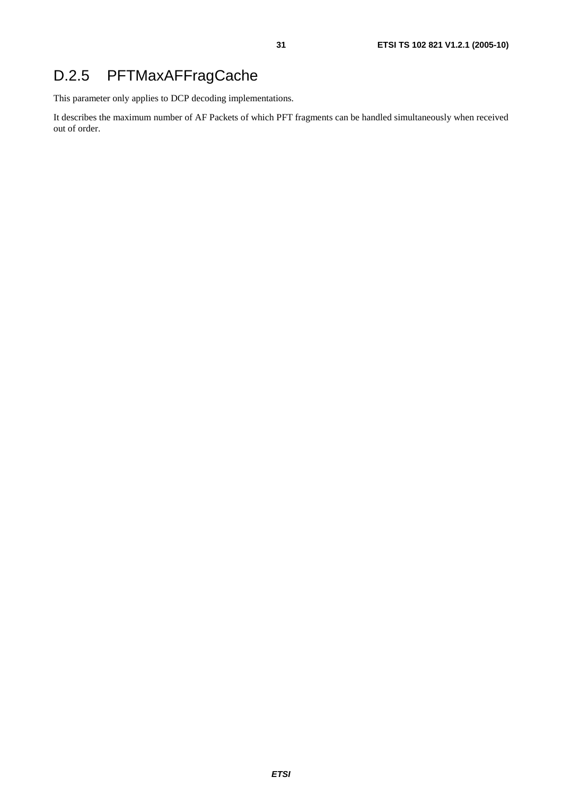### D.2.5 PFTMaxAFFragCache

This parameter only applies to DCP decoding implementations.

It describes the maximum number of AF Packets of which PFT fragments can be handled simultaneously when received out of order.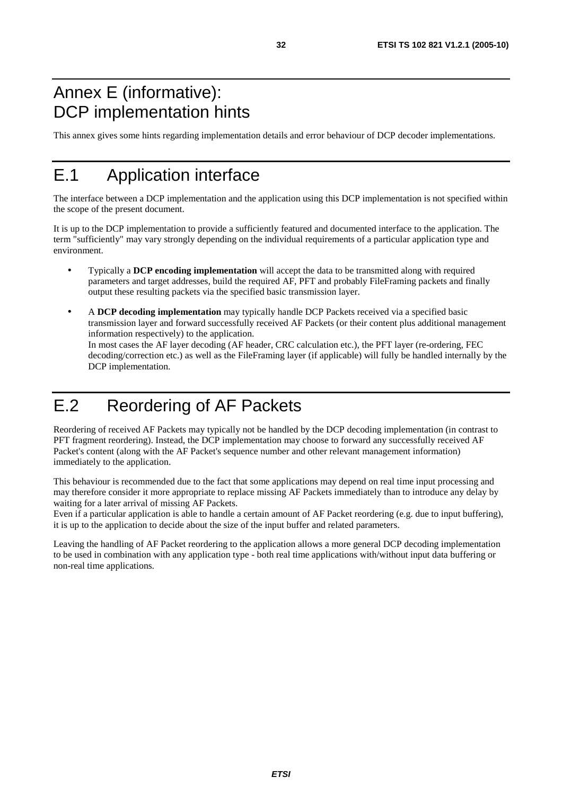### Annex E (informative): DCP implementation hints

This annex gives some hints regarding implementation details and error behaviour of DCP decoder implementations.

# E.1 Application interface

The interface between a DCP implementation and the application using this DCP implementation is not specified within the scope of the present document.

It is up to the DCP implementation to provide a sufficiently featured and documented interface to the application. The term "sufficiently" may vary strongly depending on the individual requirements of a particular application type and environment.

- Typically a **DCP encoding implementation** will accept the data to be transmitted along with required parameters and target addresses, build the required AF, PFT and probably FileFraming packets and finally output these resulting packets via the specified basic transmission layer.
- A **DCP decoding implementation** may typically handle DCP Packets received via a specified basic transmission layer and forward successfully received AF Packets (or their content plus additional management information respectively) to the application. In most cases the AF layer decoding (AF header, CRC calculation etc.), the PFT layer (re-ordering, FEC decoding/correction etc.) as well as the FileFraming layer (if applicable) will fully be handled internally by the DCP implementation.

# E.2 Reordering of AF Packets

Reordering of received AF Packets may typically not be handled by the DCP decoding implementation (in contrast to PFT fragment reordering). Instead, the DCP implementation may choose to forward any successfully received AF Packet's content (along with the AF Packet's sequence number and other relevant management information) immediately to the application.

This behaviour is recommended due to the fact that some applications may depend on real time input processing and may therefore consider it more appropriate to replace missing AF Packets immediately than to introduce any delay by waiting for a later arrival of missing AF Packets.

Even if a particular application is able to handle a certain amount of AF Packet reordering (e.g. due to input buffering), it is up to the application to decide about the size of the input buffer and related parameters.

Leaving the handling of AF Packet reordering to the application allows a more general DCP decoding implementation to be used in combination with any application type - both real time applications with/without input data buffering or non-real time applications.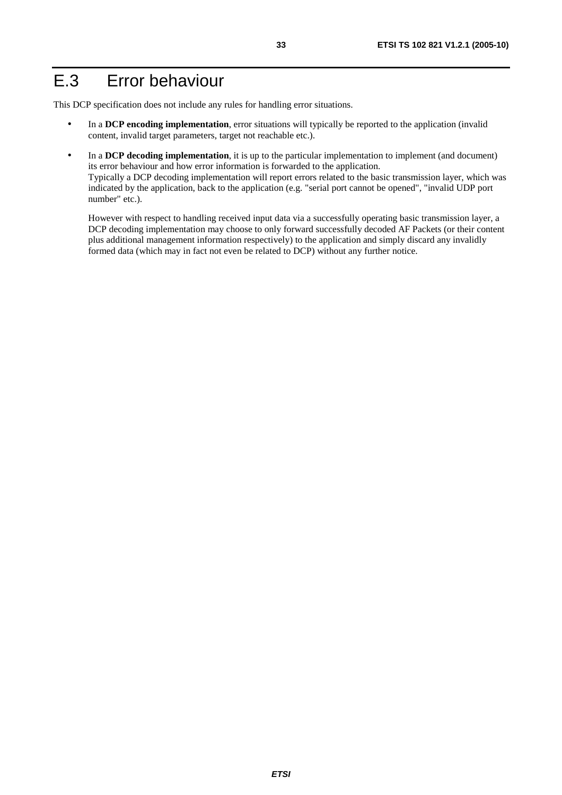### E.3 Error behaviour

This DCP specification does not include any rules for handling error situations.

- In a **DCP encoding implementation**, error situations will typically be reported to the application (invalid content, invalid target parameters, target not reachable etc.).
- In a **DCP decoding implementation**, it is up to the particular implementation to implement (and document) its error behaviour and how error information is forwarded to the application. Typically a DCP decoding implementation will report errors related to the basic transmission layer, which was indicated by the application, back to the application (e.g. "serial port cannot be opened", "invalid UDP port number" etc.).

 However with respect to handling received input data via a successfully operating basic transmission layer, a DCP decoding implementation may choose to only forward successfully decoded AF Packets (or their content plus additional management information respectively) to the application and simply discard any invalidly formed data (which may in fact not even be related to DCP) without any further notice.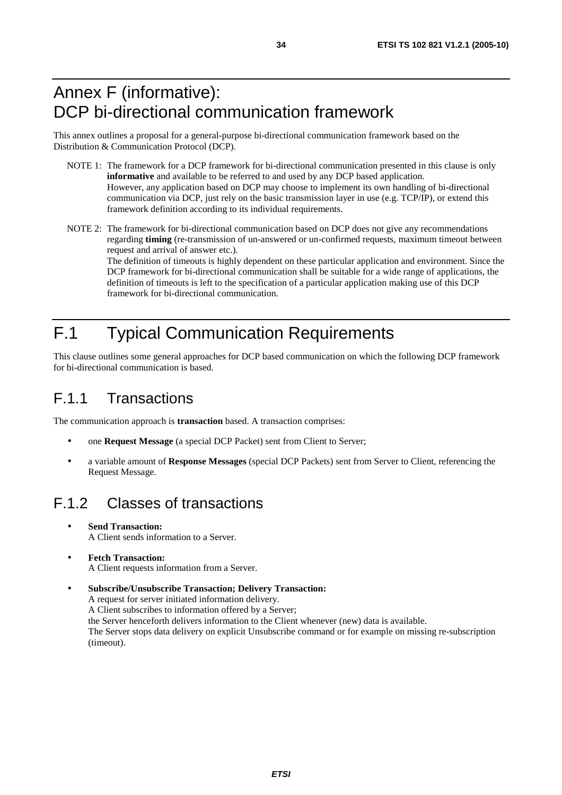### Annex F (informative): DCP bi-directional communication framework

This annex outlines a proposal for a general-purpose bi-directional communication framework based on the Distribution & Communication Protocol (DCP).

- NOTE 1: The framework for a DCP framework for bi-directional communication presented in this clause is only **informative** and available to be referred to and used by any DCP based application. However, any application based on DCP may choose to implement its own handling of bi-directional communication via DCP, just rely on the basic transmission layer in use (e.g. TCP/IP), or extend this framework definition according to its individual requirements.
- NOTE 2: The framework for bi-directional communication based on DCP does not give any recommendations regarding **timing** (re-transmission of un-answered or un-confirmed requests, maximum timeout between request and arrival of answer etc.).

The definition of timeouts is highly dependent on these particular application and environment. Since the DCP framework for bi-directional communication shall be suitable for a wide range of applications, the definition of timeouts is left to the specification of a particular application making use of this DCP framework for bi-directional communication.

# F.1 Typical Communication Requirements

This clause outlines some general approaches for DCP based communication on which the following DCP framework for bi-directional communication is based.

### F.1.1 Transactions

The communication approach is **transaction** based. A transaction comprises:

- one **Request Message** (a special DCP Packet) sent from Client to Server;
- a variable amount of **Response Messages** (special DCP Packets) sent from Server to Client, referencing the Request Message.

### F.1.2 Classes of transactions

- **Send Transaction:** A Client sends information to a Server.
- **Fetch Transaction:** A Client requests information from a Server.

• **Subscribe/Unsubscribe Transaction; Delivery Transaction:** A request for server initiated information delivery. A Client subscribes to information offered by a Server; the Server henceforth delivers information to the Client whenever (new) data is available. The Server stops data delivery on explicit Unsubscribe command or for example on missing re-subscription (timeout).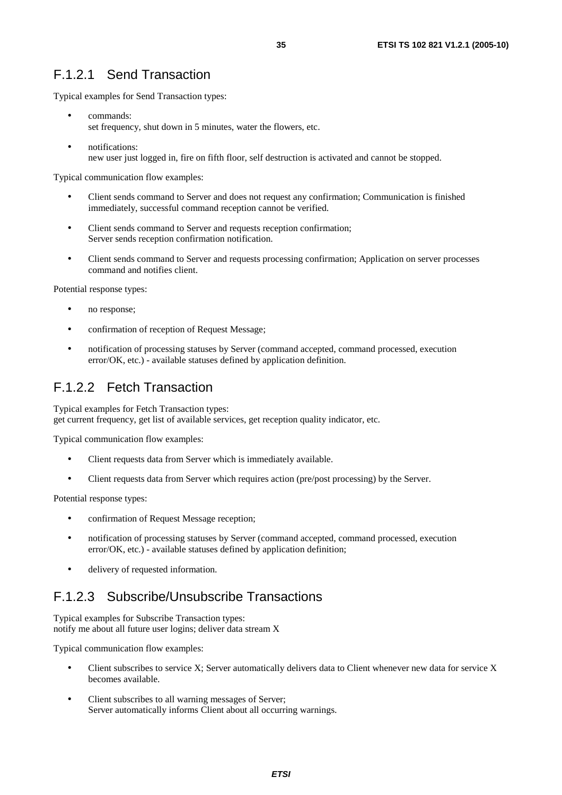#### F.1.2.1 Send Transaction

Typical examples for Send Transaction types:

- commands: set frequency, shut down in 5 minutes, water the flowers, etc.
- notifications: new user just logged in, fire on fifth floor, self destruction is activated and cannot be stopped.

Typical communication flow examples:

- Client sends command to Server and does not request any confirmation; Communication is finished immediately, successful command reception cannot be verified.
- Client sends command to Server and requests reception confirmation; Server sends reception confirmation notification.
- Client sends command to Server and requests processing confirmation; Application on server processes command and notifies client.

Potential response types:

- no response;
- confirmation of reception of Request Message;
- notification of processing statuses by Server (command accepted, command processed, execution error/OK, etc.) - available statuses defined by application definition.

#### F.1.2.2 Fetch Transaction

Typical examples for Fetch Transaction types: get current frequency, get list of available services, get reception quality indicator, etc.

Typical communication flow examples:

- Client requests data from Server which is immediately available.
- Client requests data from Server which requires action (pre/post processing) by the Server.

Potential response types:

- confirmation of Request Message reception;
- notification of processing statuses by Server (command accepted, command processed, execution error/OK, etc.) - available statuses defined by application definition;
- delivery of requested information.

#### F.1.2.3 Subscribe/Unsubscribe Transactions

Typical examples for Subscribe Transaction types: notify me about all future user logins; deliver data stream X

Typical communication flow examples:

- Client subscribes to service X; Server automatically delivers data to Client whenever new data for service X becomes available.
- Client subscribes to all warning messages of Server; Server automatically informs Client about all occurring warnings.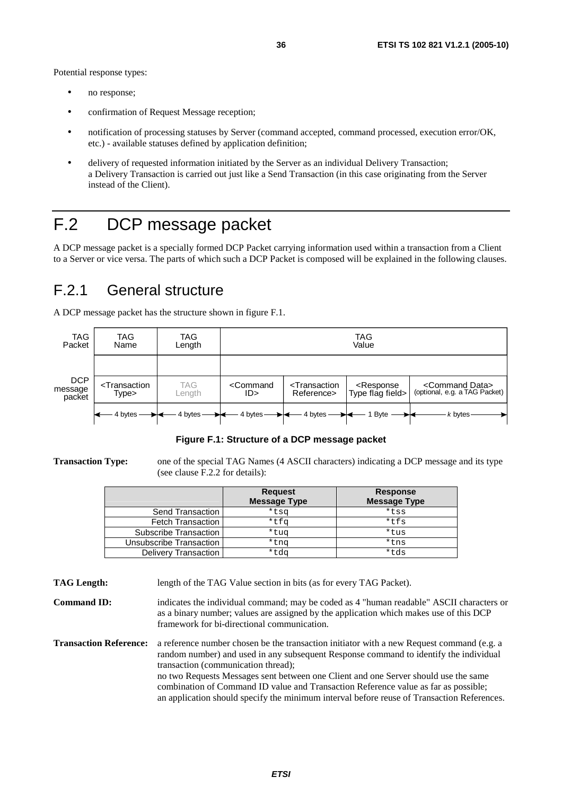- no response;
- confirmation of Request Message reception;
- notification of processing statuses by Server (command accepted, command processed, execution error/OK, etc.) - available statuses defined by application definition;
- delivery of requested information initiated by the Server as an individual Delivery Transaction; a Delivery Transaction is carried out just like a Send Transaction (in this case originating from the Server instead of the Client).

# F.2 DCP message packet

A DCP message packet is a specially formed DCP Packet carrying information used within a transaction from a Client to a Server or vice versa. The parts of which such a DCP Packet is composed will be explained in the following clauses.

### F.2.1 General structure

A DCP message packet has the structure shown in figure F.1.



**Figure F.1: Structure of a DCP message packet** 

**Transaction Type:** one of the special TAG Names (4 ASCII characters) indicating a DCP message and its type (see clause F.2.2 for details):

|                             | <b>Request</b><br><b>Message Type</b> | <b>Response</b><br><b>Message Type</b> |
|-----------------------------|---------------------------------------|----------------------------------------|
| Send Transaction            | *tsq                                  | *tss                                   |
| <b>Fetch Transaction</b>    | *tfq                                  | $*$ tfs                                |
| Subscribe Transaction       | *tug                                  | *tus                                   |
| Unsubscribe Transaction     | *tnq                                  | *tns                                   |
| <b>Delivery Transaction</b> | *tdg                                  | *tds                                   |

**TAG Length:** length of the TAG Value section in bits (as for every TAG Packet).

**Command ID:** indicates the individual command; may be coded as 4 "human readable" ASCII characters or as a binary number; values are assigned by the application which makes use of this DCP framework for bi-directional communication.

**Transaction Reference:** a reference number chosen be the transaction initiator with a new Request command (e.g. a random number) and used in any subsequent Response command to identify the individual transaction (communication thread); no two Requests Messages sent between one Client and one Server should use the same combination of Command ID value and Transaction Reference value as far as possible; an application should specify the minimum interval before reuse of Transaction References.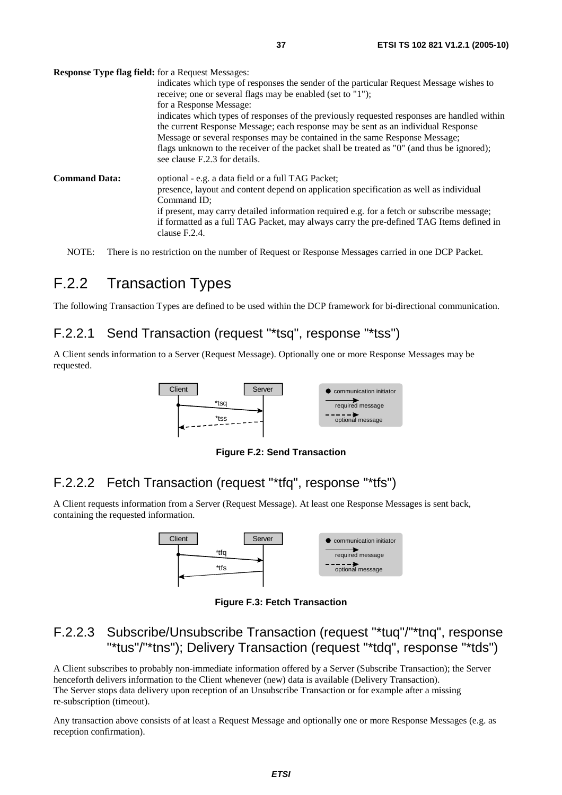**Response Type flag field:** for a Request Messages:

|                      | indicates which type of responses the sender of the particular Request Message wishes to<br>receive; one or several flags may be enabled (set to "1");                                                      |
|----------------------|-------------------------------------------------------------------------------------------------------------------------------------------------------------------------------------------------------------|
|                      | for a Response Message:<br>indicates which types of responses of the previously requested responses are handled within<br>the current Response Message; each response may be sent as an individual Response |
|                      | Message or several responses may be contained in the same Response Message;<br>flags unknown to the receiver of the packet shall be treated as "0" (and thus be ignored);<br>see clause F.2.3 for details.  |
| <b>Command Data:</b> | optional - e.g. a data field or a full TAG Packet;<br>presence, layout and content depend on application specification as well as individual<br>Command ID:                                                 |
|                      | if present, may carry detailed information required e.g. for a fetch or subscribe message;<br>if formatted as a full TAG Packet, may always carry the pre-defined TAG Items defined in<br>clause F.2.4.     |

NOTE: There is no restriction on the number of Request or Response Messages carried in one DCP Packet.

### F.2.2 Transaction Types

The following Transaction Types are defined to be used within the DCP framework for bi-directional communication.

#### F.2.2.1 Send Transaction (request "\*tsq", response "\*tss")

A Client sends information to a Server (Request Message). Optionally one or more Response Messages may be requested.



**Figure F.2: Send Transaction** 

#### F.2.2.2 Fetch Transaction (request "\*tfq", response "\*tfs")

A Client requests information from a Server (Request Message). At least one Response Messages is sent back, containing the requested information.



**Figure F.3: Fetch Transaction** 

#### F.2.2.3 Subscribe/Unsubscribe Transaction (request "\*tuq"/"\*tnq", response "\*tus"/"\*tns"); Delivery Transaction (request "\*tdq", response "\*tds")

A Client subscribes to probably non-immediate information offered by a Server (Subscribe Transaction); the Server henceforth delivers information to the Client whenever (new) data is available (Delivery Transaction). The Server stops data delivery upon reception of an Unsubscribe Transaction or for example after a missing re-subscription (timeout).

Any transaction above consists of at least a Request Message and optionally one or more Response Messages (e.g. as reception confirmation).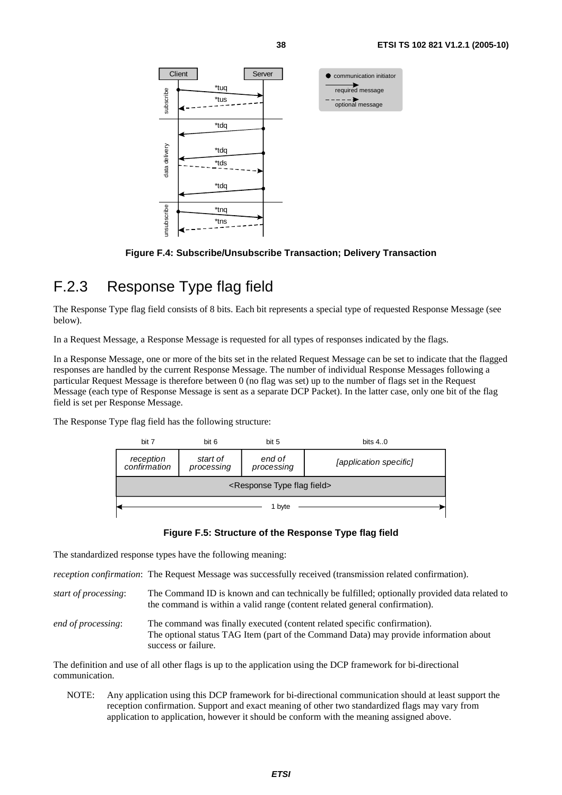

**Figure F.4: Subscribe/Unsubscribe Transaction; Delivery Transaction** 

### F.2.3 Response Type flag field

The Response Type flag field consists of 8 bits. Each bit represents a special type of requested Response Message (see below).

In a Request Message, a Response Message is requested for all types of responses indicated by the flags.

In a Response Message, one or more of the bits set in the related Request Message can be set to indicate that the flagged responses are handled by the current Response Message. The number of individual Response Messages following a particular Request Message is therefore between 0 (no flag was set) up to the number of flags set in the Request Message (each type of Response Message is sent as a separate DCP Packet). In the latter case, only one bit of the flag field is set per Response Message.

The Response Type flag field has the following structure:



#### **Figure F.5: Structure of the Response Type flag field**

The standardized response types have the following meaning:

*reception confirmation*: The Request Message was successfully received (transmission related confirmation).

- *start of processing*: The Command ID is known and can technically be fulfilled; optionally provided data related to the command is within a valid range (content related general confirmation).
- *end of processing*: The command was finally executed (content related specific confirmation). The optional status TAG Item (part of the Command Data) may provide information about success or failure.

The definition and use of all other flags is up to the application using the DCP framework for bi-directional communication.

NOTE: Any application using this DCP framework for bi-directional communication should at least support the reception confirmation. Support and exact meaning of other two standardized flags may vary from application to application, however it should be conform with the meaning assigned above.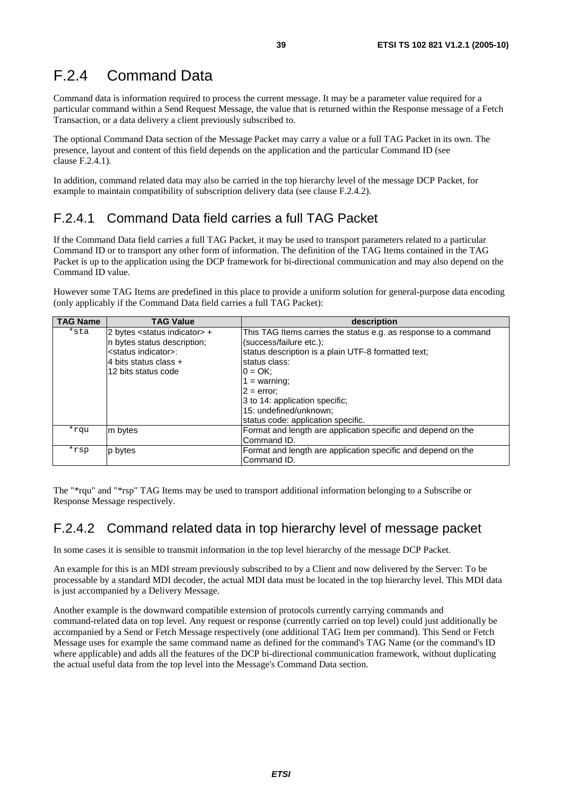### F.2.4 Command Data

Command data is information required to process the current message. It may be a parameter value required for a particular command within a Send Request Message, the value that is returned within the Response message of a Fetch Transaction, or a data delivery a client previously subscribed to.

The optional Command Data section of the Message Packet may carry a value or a full TAG Packet in its own. The presence, layout and content of this field depends on the application and the particular Command ID (see clause F.2.4.1).

In addition, command related data may also be carried in the top hierarchy level of the message DCP Packet, for example to maintain compatibility of subscription delivery data (see clause F.2.4.2).

#### F.2.4.1 Command Data field carries a full TAG Packet

If the Command Data field carries a full TAG Packet, it may be used to transport parameters related to a particular Command ID or to transport any other form of information. The definition of the TAG Items contained in the TAG Packet is up to the application using the DCP framework for bi-directional communication and may also depend on the Command ID value.

However some TAG Items are predefined in this place to provide a uniform solution for general-purpose data encoding (only applicably if the Command Data field carries a full TAG Packet):

| <b>TAG Name</b> | <b>TAG Value</b>                         | description                                                     |
|-----------------|------------------------------------------|-----------------------------------------------------------------|
| *sta            | 2 bytes <status indicator=""> +</status> | This TAG Items carries the status e.g. as response to a command |
|                 | n bytes status description;              | (success/failure etc.);                                         |
|                 | <status indicator="">:</status>          | status description is a plain UTF-8 formatted text;             |
|                 | l4 bits status class +                   | status class:                                                   |
|                 | 12 bits status code                      | $0 = OK$ :                                                      |
|                 |                                          | 1 = warning;                                                    |
|                 |                                          | $2 = error$                                                     |
|                 |                                          | 3 to 14: application specific;                                  |
|                 |                                          | 15: undefined/unknown;                                          |
|                 |                                          | status code: application specific.                              |
| *rqu            | m bytes                                  | Format and length are application specific and depend on the    |
|                 |                                          | Command ID.                                                     |
| *rsp            | p bytes                                  | Format and length are application specific and depend on the    |
|                 |                                          | Command ID.                                                     |

The "\*rqu" and "\*rsp" TAG Items may be used to transport additional information belonging to a Subscribe or Response Message respectively.

#### F.2.4.2 Command related data in top hierarchy level of message packet

In some cases it is sensible to transmit information in the top level hierarchy of the message DCP Packet.

An example for this is an MDI stream previously subscribed to by a Client and now delivered by the Server: To be processable by a standard MDI decoder, the actual MDI data must be located in the top hierarchy level. This MDI data is just accompanied by a Delivery Message.

Another example is the downward compatible extension of protocols currently carrying commands and command-related data on top level. Any request or response (currently carried on top level) could just additionally be accompanied by a Send or Fetch Message respectively (one additional TAG Item per command). This Send or Fetch Message uses for example the same command name as defined for the command's TAG Name (or the command's ID where applicable) and adds all the features of the DCP bi-directional communication framework, without duplicating the actual useful data from the top level into the Message's Command Data section.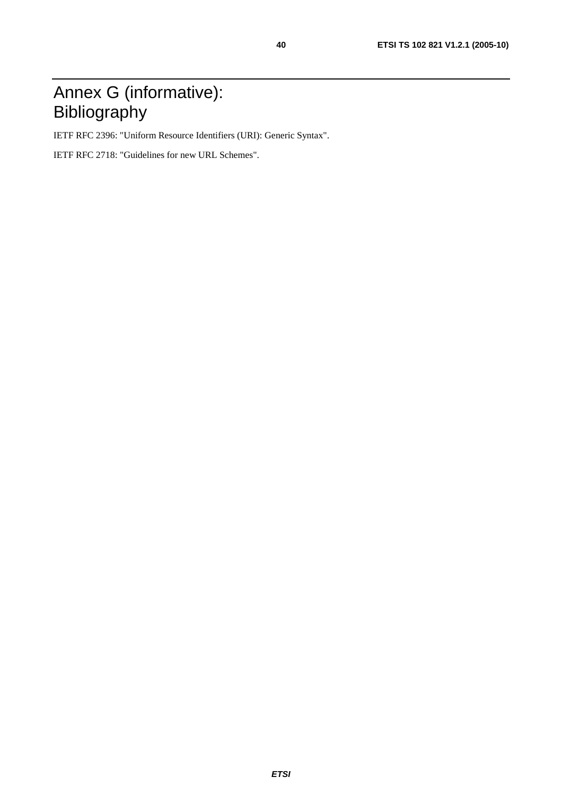# Annex G (informative): Bibliography

IETF RFC 2396: "Uniform Resource Identifiers (URI): Generic Syntax".

IETF RFC 2718: "Guidelines for new URL Schemes".